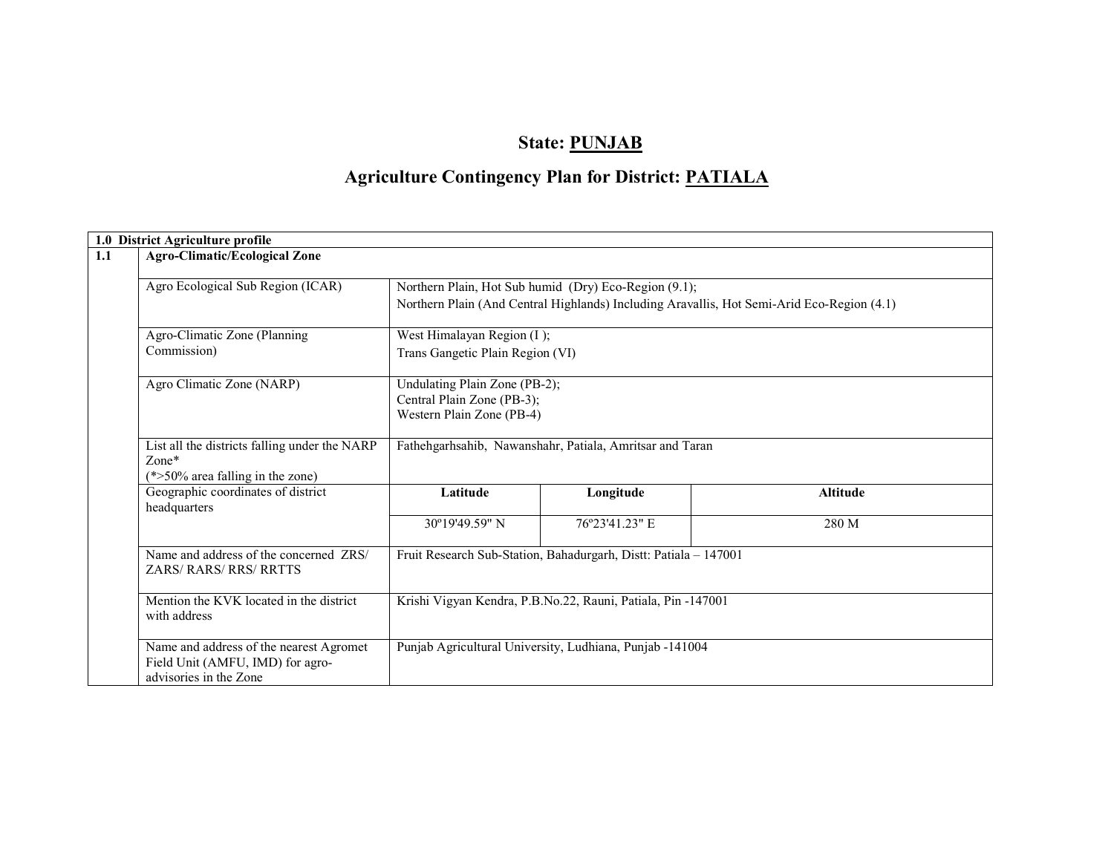# State: PUNJAB

# Agriculture Contingency Plan for District: PATIALA

|     | 1.0 District Agriculture profile                   |                                                                                            |                                                                  |                 |  |  |  |  |  |
|-----|----------------------------------------------------|--------------------------------------------------------------------------------------------|------------------------------------------------------------------|-----------------|--|--|--|--|--|
| 1.1 | <b>Agro-Climatic/Ecological Zone</b>               |                                                                                            |                                                                  |                 |  |  |  |  |  |
|     | Agro Ecological Sub Region (ICAR)                  |                                                                                            | Northern Plain, Hot Sub humid (Dry) Eco-Region (9.1);            |                 |  |  |  |  |  |
|     |                                                    | Northern Plain (And Central Highlands) Including Aravallis, Hot Semi-Arid Eco-Region (4.1) |                                                                  |                 |  |  |  |  |  |
|     | Agro-Climatic Zone (Planning                       | West Himalayan Region (I);                                                                 |                                                                  |                 |  |  |  |  |  |
|     | Commission)                                        | Trans Gangetic Plain Region (VI)                                                           |                                                                  |                 |  |  |  |  |  |
|     | Agro Climatic Zone (NARP)                          | Undulating Plain Zone (PB-2);                                                              |                                                                  |                 |  |  |  |  |  |
|     |                                                    | Central Plain Zone (PB-3);                                                                 |                                                                  |                 |  |  |  |  |  |
|     |                                                    | Western Plain Zone (PB-4)                                                                  |                                                                  |                 |  |  |  |  |  |
|     | List all the districts falling under the NARP      | Fathehgarhsahib, Nawanshahr, Patiala, Amritsar and Taran                                   |                                                                  |                 |  |  |  |  |  |
|     | $Zone*$                                            |                                                                                            |                                                                  |                 |  |  |  |  |  |
|     | (*>50% area falling in the zone)                   |                                                                                            |                                                                  |                 |  |  |  |  |  |
|     | Geographic coordinates of district<br>headquarters | Latitude                                                                                   | Longitude                                                        | <b>Altitude</b> |  |  |  |  |  |
|     |                                                    | 30°19'49.59" N                                                                             | 76°23'41.23" E                                                   | 280 M           |  |  |  |  |  |
|     | Name and address of the concerned ZRS/             |                                                                                            | Fruit Research Sub-Station, Bahadurgarh, Distt: Patiala - 147001 |                 |  |  |  |  |  |
|     | <b>ZARS/ RARS/ RRS/ RRTTS</b>                      |                                                                                            |                                                                  |                 |  |  |  |  |  |
|     | Mention the KVK located in the district            | Krishi Vigyan Kendra, P.B.No.22, Rauni, Patiala, Pin -147001                               |                                                                  |                 |  |  |  |  |  |
|     | with address                                       |                                                                                            |                                                                  |                 |  |  |  |  |  |
|     | Name and address of the nearest Agromet            |                                                                                            | Punjab Agricultural University, Ludhiana, Punjab -141004         |                 |  |  |  |  |  |
|     | Field Unit (AMFU, IMD) for agro-                   |                                                                                            |                                                                  |                 |  |  |  |  |  |
|     | advisories in the Zone                             |                                                                                            |                                                                  |                 |  |  |  |  |  |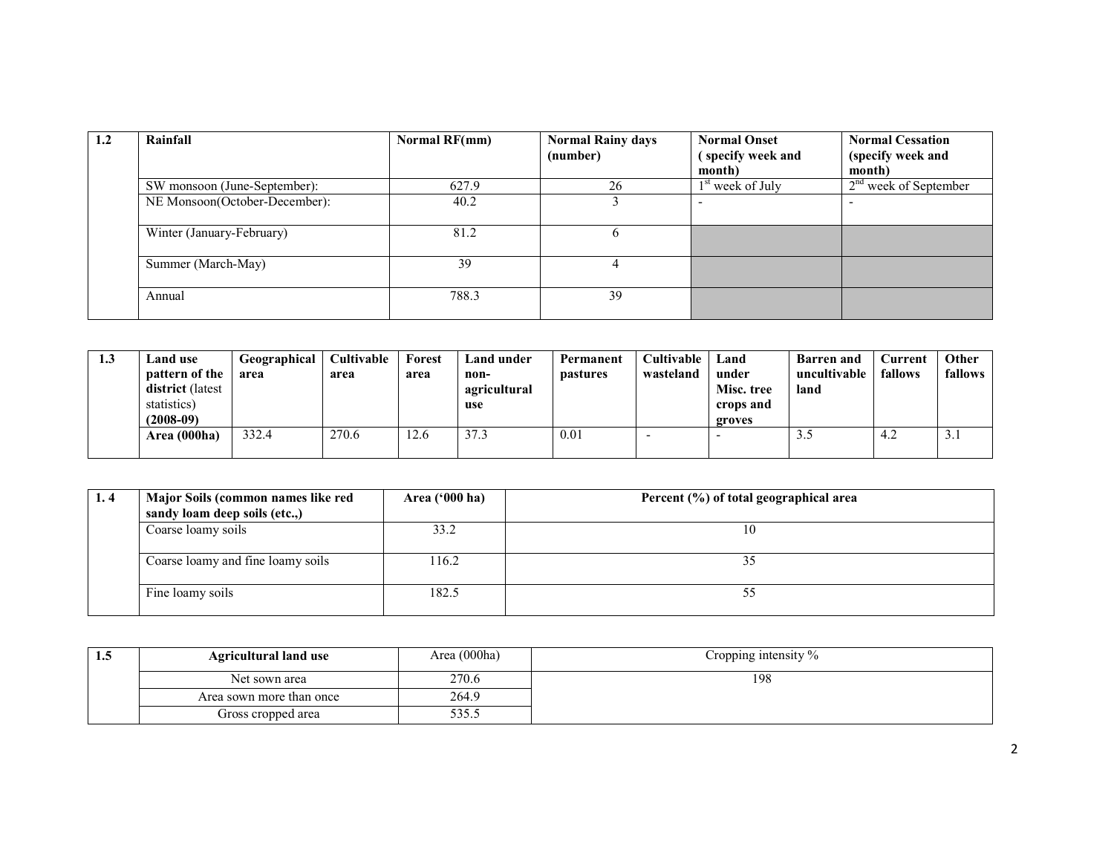| 1.2 | Rainfall                      | <b>Normal RF(mm)</b> | <b>Normal Rainy days</b> | <b>Normal Onset</b>          | <b>Normal Cessation</b> |
|-----|-------------------------------|----------------------|--------------------------|------------------------------|-------------------------|
|     |                               |                      | (number)                 | (specify week and            | (specify week and       |
|     |                               |                      |                          | month)                       | month)                  |
|     | SW monsoon (June-September):  | 627.9                | 26                       | 1 <sup>st</sup> week of July | $2nd$ week of September |
|     | NE Monsoon(October-December): | 40.2                 |                          |                              |                         |
|     | Winter (January-February)     | 81.2                 | <sub>b</sub>             |                              |                         |
|     | Summer (March-May)            | 39                   |                          |                              |                         |
|     | Annual                        | 788.3                | 39                       |                              |                         |

| 1.3 | <b>Land use</b><br>pattern of the<br><b>district</b> (latest<br>statistics)<br>$(2008-09)$ | Geographical<br>area | <b>Cultivable</b><br>area | Forest<br>area | Land under<br>non-<br>agricultural<br>use | Permanent<br><b>pastures</b> | <b>Cultivable</b><br>wasteland | Land<br>under<br>Misc. tree<br>crops and<br>groves | <b>Barren</b> and<br>uncultivable<br>land | <b>Current</b><br>fallows | Other<br>fallows |
|-----|--------------------------------------------------------------------------------------------|----------------------|---------------------------|----------------|-------------------------------------------|------------------------------|--------------------------------|----------------------------------------------------|-------------------------------------------|---------------------------|------------------|
|     | Area (000ha)                                                                               | 332.4                | 270.6                     | 12.6           | 37.3                                      | 0.01                         |                                |                                                    | 3.J                                       | 4.2                       | 2.1              |

| 1.4 | Major Soils (common names like red<br>sandy loam deep soils (etc.,) | Area $(900 \text{ ha})$ | Percent (%) of total geographical area |
|-----|---------------------------------------------------------------------|-------------------------|----------------------------------------|
|     | Coarse loamy soils                                                  | 33.2                    |                                        |
|     | Coarse loamy and fine loamy soils                                   | 116.2                   | ۔ ر                                    |
|     | Fine loamy soils                                                    | 182.5                   |                                        |

| 1. . J | <b>Agricultural land use</b> | Area (000ha) | Cropping intensity $\%$ |
|--------|------------------------------|--------------|-------------------------|
|        | Net sown area                | 270.6        | 198                     |
|        | Area sown more than once     | 264.9        |                         |
|        | Gross cropped area           | 333.S        |                         |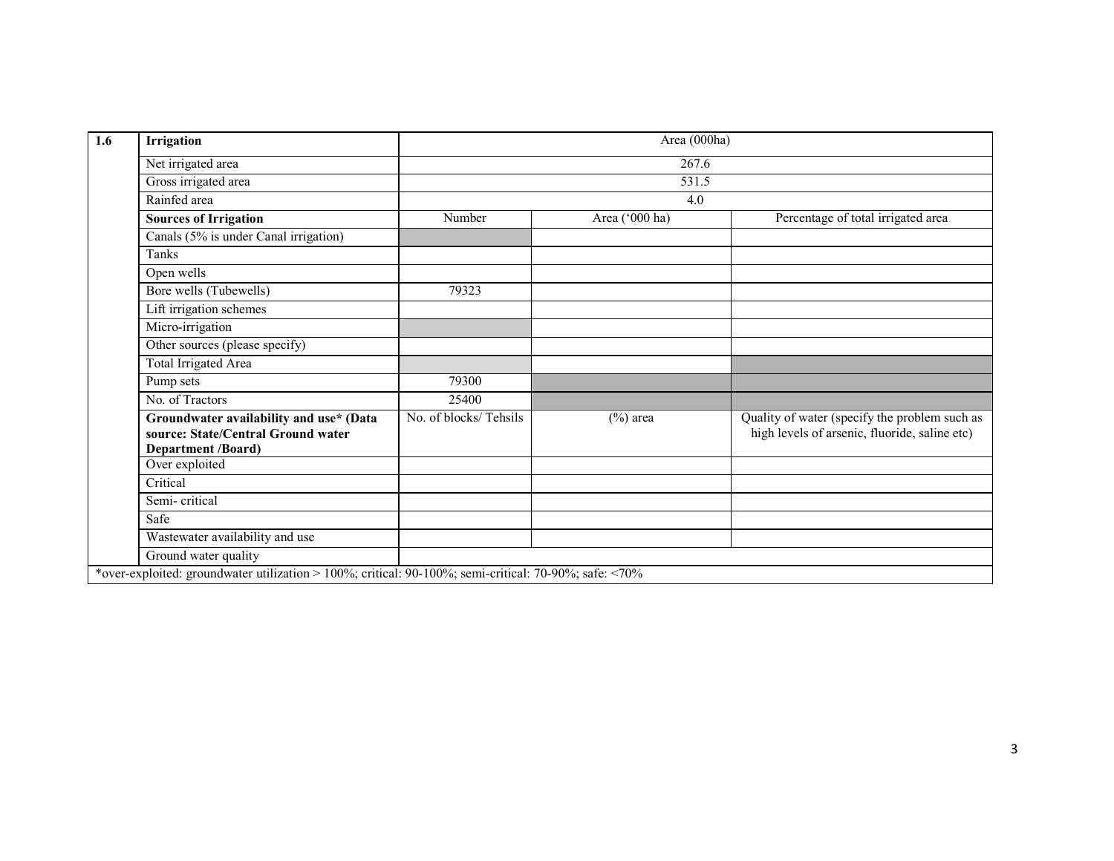| 1.6 | Irrigation                                                                                                 | Area (000ha)          |                |                                                                                                |  |  |  |  |
|-----|------------------------------------------------------------------------------------------------------------|-----------------------|----------------|------------------------------------------------------------------------------------------------|--|--|--|--|
|     | Net irrigated area                                                                                         | 267.6                 |                |                                                                                                |  |  |  |  |
|     | Gross irrigated area                                                                                       |                       | 531.5          |                                                                                                |  |  |  |  |
|     | Rainfed area                                                                                               |                       | 4.0            |                                                                                                |  |  |  |  |
|     | <b>Sources of Irrigation</b>                                                                               | Number                | Area ('000 ha) | Percentage of total irrigated area                                                             |  |  |  |  |
|     | Canals (5% is under Canal irrigation)                                                                      |                       |                |                                                                                                |  |  |  |  |
|     | <b>Tanks</b>                                                                                               |                       |                |                                                                                                |  |  |  |  |
|     | Open wells                                                                                                 |                       |                |                                                                                                |  |  |  |  |
|     | Bore wells (Tubewells)                                                                                     | 79323                 |                |                                                                                                |  |  |  |  |
|     | Lift irrigation schemes                                                                                    |                       |                |                                                                                                |  |  |  |  |
|     | Micro-irrigation                                                                                           |                       |                |                                                                                                |  |  |  |  |
|     | Other sources (please specify)                                                                             |                       |                |                                                                                                |  |  |  |  |
|     | Total Irrigated Area                                                                                       |                       |                |                                                                                                |  |  |  |  |
|     | Pump sets                                                                                                  | 79300                 |                |                                                                                                |  |  |  |  |
|     | No. of Tractors                                                                                            | 25400                 |                |                                                                                                |  |  |  |  |
|     | Groundwater availability and use* (Data<br>source: State/Central Ground water<br><b>Department /Board)</b> | No. of blocks/Tehsils | $(\%)$ area    | Quality of water (specify the problem such as<br>high levels of arsenic, fluoride, saline etc) |  |  |  |  |
|     | Over exploited                                                                                             |                       |                |                                                                                                |  |  |  |  |
|     | Critical                                                                                                   |                       |                |                                                                                                |  |  |  |  |
|     | Semi-critical                                                                                              |                       |                |                                                                                                |  |  |  |  |
|     | Safe                                                                                                       |                       |                |                                                                                                |  |  |  |  |
|     | Wastewater availability and use                                                                            |                       |                |                                                                                                |  |  |  |  |
|     | Ground water quality                                                                                       |                       |                |                                                                                                |  |  |  |  |
|     | *over-exploited: groundwater utilization > 100%; critical: 90-100%; semi-critical: 70-90%; safe: <70%      |                       |                |                                                                                                |  |  |  |  |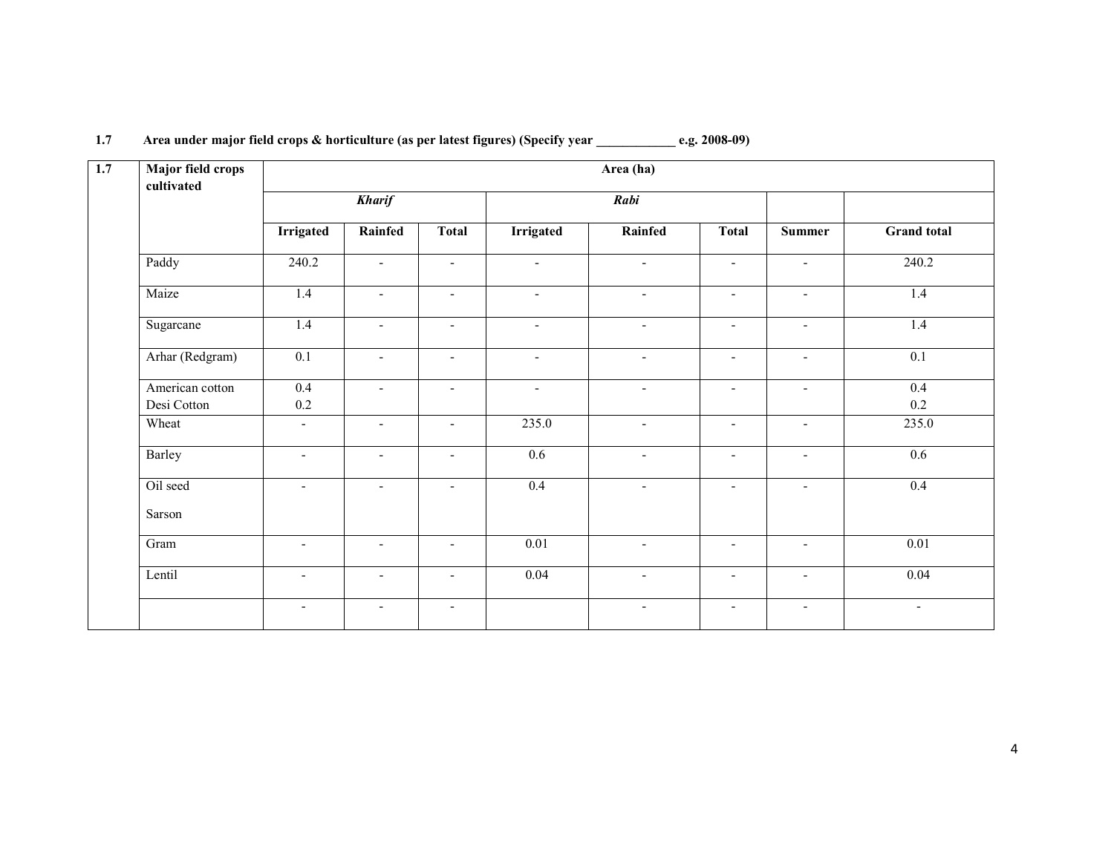| <b>Major field crops</b><br>cultivated |                          |                          |                          |                          | Area (ha)                |                          |                          |                          |
|----------------------------------------|--------------------------|--------------------------|--------------------------|--------------------------|--------------------------|--------------------------|--------------------------|--------------------------|
|                                        | <b>Kharif</b>            |                          |                          |                          | Rabi                     |                          |                          |                          |
|                                        | <b>Irrigated</b>         | Rainfed                  | <b>Total</b>             | <b>Irrigated</b>         | Rainfed                  | <b>Total</b>             | <b>Summer</b>            | <b>Grand</b> total       |
| Paddy                                  | 240.2                    | $\blacksquare$           | $\sim$                   | $\blacksquare$           | $\sim$                   | $\blacksquare$           | $\blacksquare$           | 240.2                    |
| Maize                                  | 1.4                      | $\blacksquare$           | $\overline{\phantom{a}}$ | $\overline{\phantom{a}}$ | $\overline{\phantom{a}}$ | $\blacksquare$           | $\blacksquare$           | 1.4                      |
| Sugarcane                              | 1.4                      | $\blacksquare$           | $\overline{\phantom{a}}$ | $\blacksquare$           | $\blacksquare$           | $\blacksquare$           | $\overline{\phantom{a}}$ | 1.4                      |
| Arhar (Redgram)                        | 0.1                      | $\overline{\phantom{a}}$ | $\overline{\phantom{a}}$ | $\overline{\phantom{a}}$ | $\blacksquare$           | $\blacksquare$           | $\overline{\phantom{a}}$ | $\overline{0.1}$         |
| American cotton<br>Desi Cotton         | $0.4\,$<br>$0.2\,$       | $\blacksquare$           | $\overline{\phantom{a}}$ | $\blacksquare$           | $\blacksquare$           | $\overline{\phantom{a}}$ | $\blacksquare$           | 0.4<br>0.2               |
| Wheat                                  | $\overline{\phantom{a}}$ | $\overline{\phantom{a}}$ | $\overline{\phantom{a}}$ | 235.0                    | $\sim$                   | $\overline{\phantom{a}}$ | $\overline{\phantom{a}}$ | 235.0                    |
| Barley                                 | $\sim$                   | $\blacksquare$           | $\blacksquare$           | 0.6                      | $\sim$                   | $\blacksquare$           | $\blacksquare$           | $\overline{0.6}$         |
| Oil seed                               | $\sim$                   | $\blacksquare$           | $\overline{\phantom{a}}$ | 0.4                      | $\blacksquare$           | $\overline{\phantom{a}}$ | $\blacksquare$           | 0.4                      |
| Sarson                                 |                          |                          |                          |                          |                          |                          |                          |                          |
| Gram                                   | $\sim$                   | $\blacksquare$           | $\blacksquare$           | 0.01                     | $\sim$                   | $\overline{\phantom{a}}$ | $\overline{\phantom{a}}$ | 0.01                     |
| Lentil                                 | $\overline{\phantom{a}}$ | $\blacksquare$           | $\overline{\phantom{a}}$ | 0.04                     | $\blacksquare$           | $\overline{\phantom{a}}$ | $\blacksquare$           | 0.04                     |
|                                        | $\blacksquare$           | $\blacksquare$           | $\overline{\phantom{a}}$ |                          | $\blacksquare$           | $\blacksquare$           | $\blacksquare$           | $\overline{\phantom{a}}$ |

#### 1.7 Area under major field crops & horticulture (as per latest figures) (Specify year \_\_\_\_\_\_\_\_\_\_\_\_ e.g. 2008-09)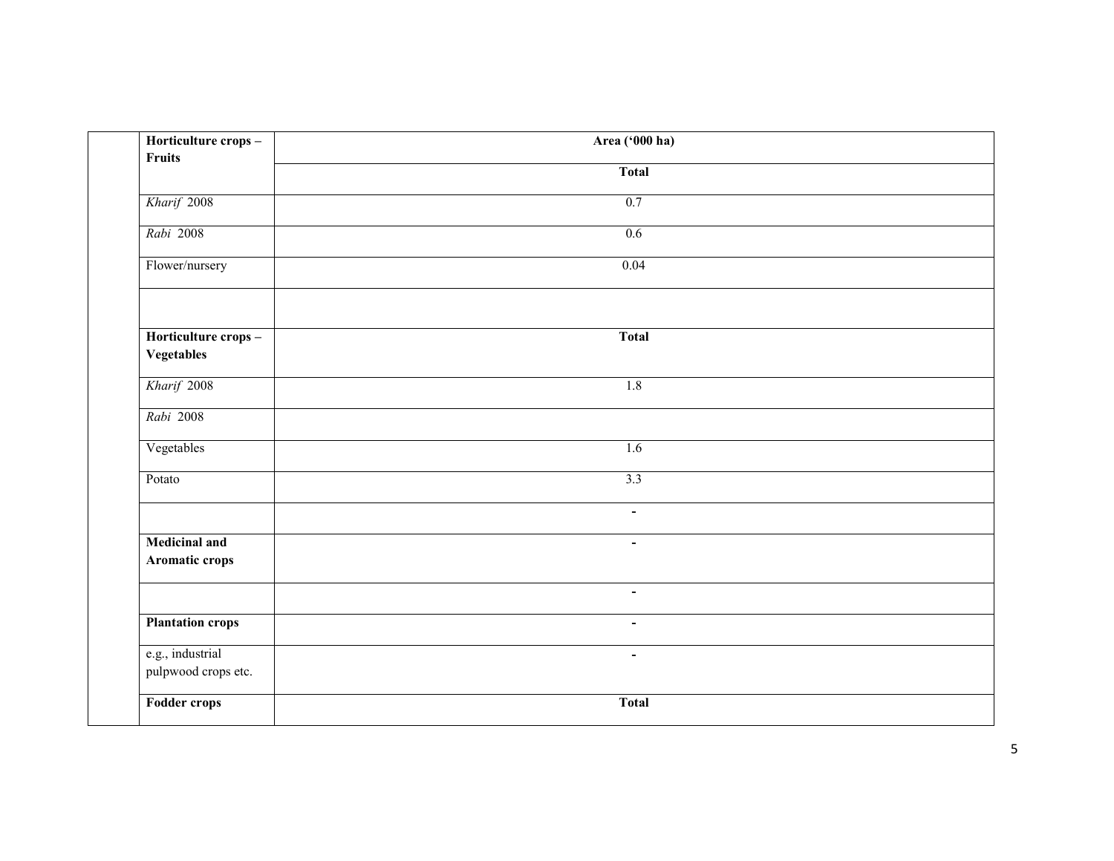| Horticulture crops-<br><b>Fruits</b>    | Area ('000 ha) |  |
|-----------------------------------------|----------------|--|
|                                         | <b>Total</b>   |  |
| Kharif 2008                             | 0.7            |  |
| Rabi 2008                               | 0.6            |  |
| Flower/nursery                          | 0.04           |  |
|                                         |                |  |
| Horticulture crops-                     | <b>Total</b>   |  |
| Vegetables                              |                |  |
| Kharif 2008                             | 1.8            |  |
| Rabi 2008                               |                |  |
| Vegetables                              | 1.6            |  |
| Potato                                  | 3.3            |  |
|                                         | $\blacksquare$ |  |
| <b>Medicinal and</b><br>Aromatic crops  | $\blacksquare$ |  |
|                                         | $\blacksquare$ |  |
| <b>Plantation crops</b>                 | $\blacksquare$ |  |
| e.g., industrial<br>pulpwood crops etc. | $\blacksquare$ |  |
| Fodder crops                            | <b>Total</b>   |  |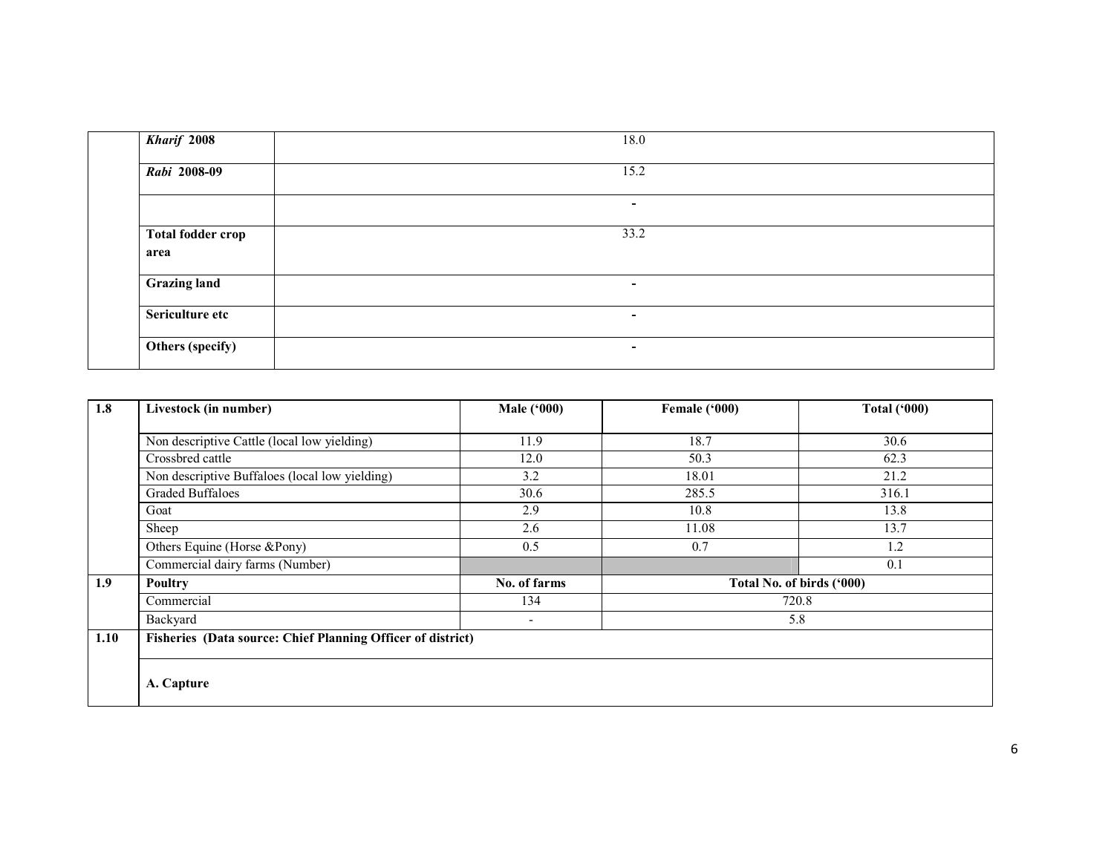| <b>Kharif 2008</b>               | 18.0 |  |
|----------------------------------|------|--|
| Rabi 2008-09                     | 15.2 |  |
|                                  | ۰.   |  |
| <b>Total fodder crop</b><br>area | 33.2 |  |
| <b>Grazing land</b>              | ۰    |  |
| Sericulture etc                  | ۰.   |  |
| Others (specify)                 | ۰.   |  |

| 1.8  | Livestock (in number)                                       | <b>Male ('000)</b> | Female ('000) | <b>Total ('000)</b>       |
|------|-------------------------------------------------------------|--------------------|---------------|---------------------------|
|      |                                                             |                    |               |                           |
|      | Non descriptive Cattle (local low yielding)                 | 11.9               | 18.7          | 30.6                      |
|      | Crossbred cattle                                            | 12.0               | 50.3          | 62.3                      |
|      | Non descriptive Buffaloes (local low yielding)              | 3.2                | 18.01         | 21.2                      |
|      | <b>Graded Buffaloes</b>                                     | 30.6               | 285.5         | 316.1                     |
|      | Goat                                                        | 2.9                | 10.8          | 13.8                      |
|      | Sheep                                                       | 2.6                | 11.08         | 13.7                      |
|      | Others Equine (Horse &Pony)                                 | 0.5                | 0.7           | 1.2                       |
|      | Commercial dairy farms (Number)                             |                    |               | 0.1                       |
| 1.9  | <b>Poultry</b>                                              | No. of farms       |               | Total No. of birds ('000) |
|      | Commercial                                                  | 134                |               | 720.8                     |
|      | Backyard                                                    | ٠                  |               | 5.8                       |
| 1.10 | Fisheries (Data source: Chief Planning Officer of district) |                    |               |                           |
|      |                                                             |                    |               |                           |
|      |                                                             |                    |               |                           |
|      | A. Capture                                                  |                    |               |                           |
|      |                                                             |                    |               |                           |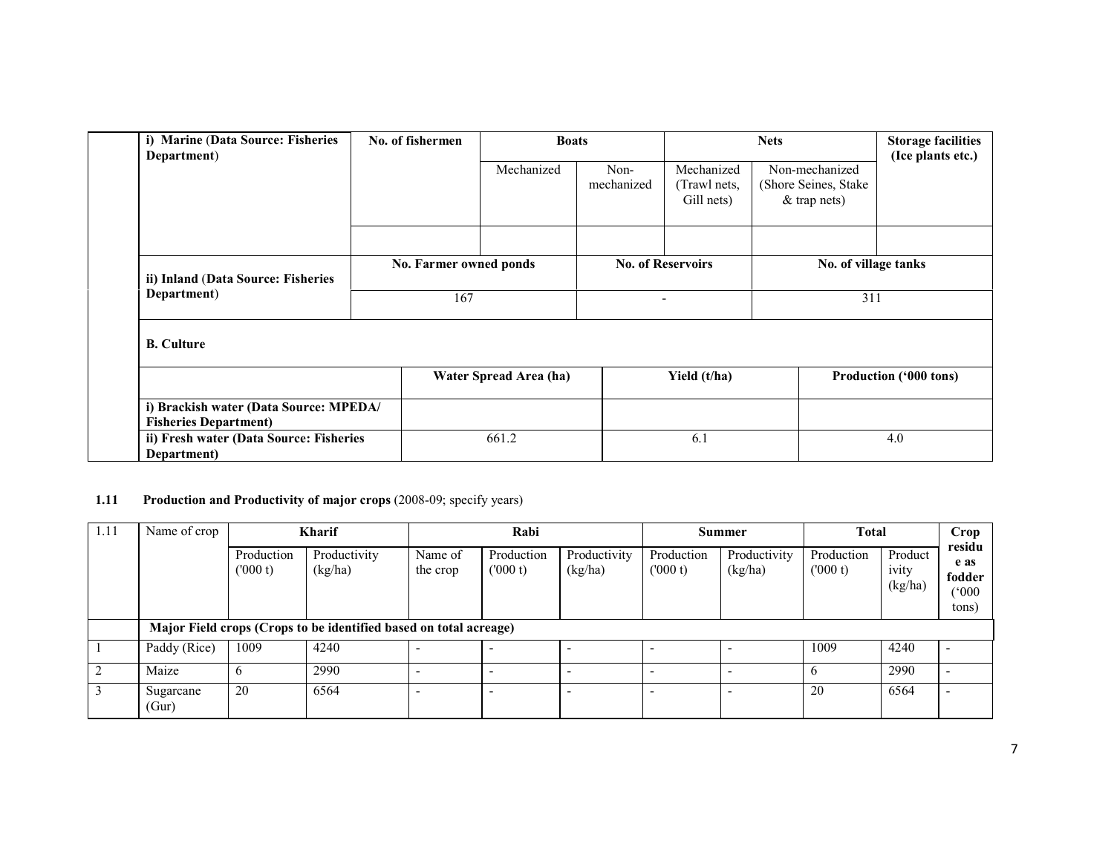| i) Marine (Data Source: Fisheries<br>Department)                       | No. of fishermen | <b>Boats</b>           |                          | <b>Nets</b>                              |                                                           | <b>Storage facilities</b><br>(Ice plants etc.) |  |
|------------------------------------------------------------------------|------------------|------------------------|--------------------------|------------------------------------------|-----------------------------------------------------------|------------------------------------------------|--|
|                                                                        |                  | Mechanized             | Non-<br>mechanized       | Mechanized<br>(Trawl nets,<br>Gill nets) | Non-mechanized<br>(Shore Seines, Stake)<br>$&$ trap nets) |                                                |  |
|                                                                        |                  |                        |                          |                                          |                                                           |                                                |  |
| ii) Inland (Data Source: Fisheries                                     |                  | No. Farmer owned ponds |                          | <b>No. of Reservoirs</b>                 | No. of village tanks                                      |                                                |  |
| Department)                                                            | 167              |                        | $\overline{\phantom{0}}$ |                                          | 311                                                       |                                                |  |
| <b>B.</b> Culture                                                      |                  |                        |                          |                                          |                                                           |                                                |  |
|                                                                        |                  | Water Spread Area (ha) |                          | Yield (t/ha)                             |                                                           | Production ('000 tons)                         |  |
| i) Brackish water (Data Source: MPEDA/<br><b>Fisheries Department)</b> |                  |                        |                          |                                          |                                                           |                                                |  |
| ii) Fresh water (Data Source: Fisheries<br>Department)                 |                  | 661.2                  |                          | 6.1                                      |                                                           | 4.0                                            |  |

#### 1.11 Production and Productivity of major crops (2008-09; specify years)

| 1.11 | Name of crop       | <b>Kharif</b>          |                                                                   |                     | Rabi                  |                         |                          | Summer                  |                       | <b>Total</b>                |                                            |
|------|--------------------|------------------------|-------------------------------------------------------------------|---------------------|-----------------------|-------------------------|--------------------------|-------------------------|-----------------------|-----------------------------|--------------------------------------------|
|      |                    | Production<br>(1000 t) | Productivity<br>(kg/ha)                                           | Name of<br>the crop | Production<br>(000 t) | Productivity<br>(kg/ha) | Production<br>(000 t)    | Productivity<br>(kg/ha) | Production<br>(000 t) | Product<br>ivity<br>(kg/ha) | residu<br>e as<br>fodder<br>(000)<br>tons) |
|      |                    |                        | Major Field crops (Crops to be identified based on total acreage) |                     |                       |                         |                          |                         |                       |                             |                                            |
|      | Paddy (Rice)       | 1009                   | 4240                                                              |                     |                       |                         | -                        |                         | 1009                  | 4240                        |                                            |
|      | Maize              | $\mathbf b$            | 2990                                                              |                     |                       |                         | $\overline{\phantom{0}}$ |                         | <sub>0</sub>          | 2990                        |                                            |
|      | Sugarcane<br>(Gur) | 20                     | 6564                                                              |                     |                       | -                       | -                        |                         | 20                    | 6564                        |                                            |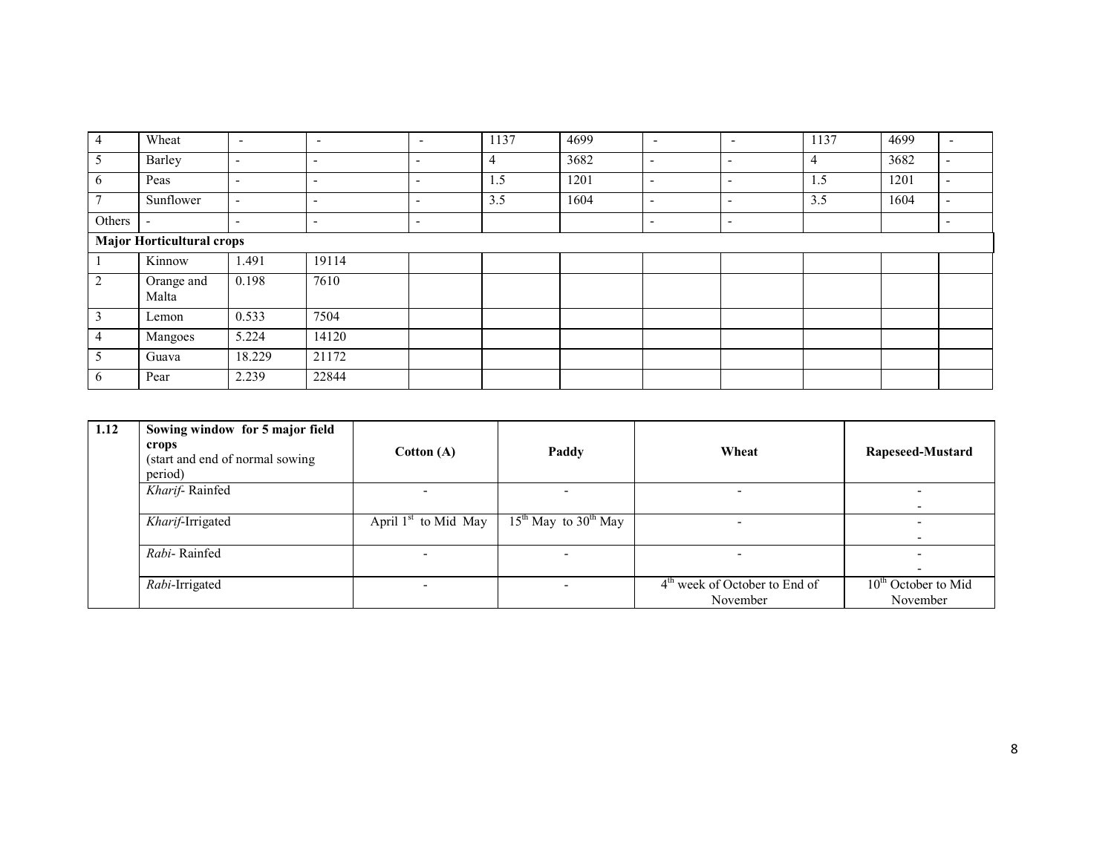| 4              | Wheat                            | $\overline{\phantom{a}}$ | $\overline{\phantom{0}}$ | $\overline{\phantom{0}}$ | 1137 | 4699 | $\overline{\phantom{0}}$ | $\overline{\phantom{a}}$ | 1137           | 4699 | $\overline{\phantom{a}}$ |
|----------------|----------------------------------|--------------------------|--------------------------|--------------------------|------|------|--------------------------|--------------------------|----------------|------|--------------------------|
| $\mathcal{L}$  | Barley                           | $\overline{\phantom{0}}$ | ۰                        | $\overline{\phantom{a}}$ | 4    | 3682 | $\overline{\phantom{a}}$ | $\overline{\phantom{0}}$ | $\overline{4}$ | 3682 | $\overline{\phantom{a}}$ |
| 6              | Peas                             | $\overline{\phantom{0}}$ | -                        | $\overline{\phantom{a}}$ | 1.5  | 1201 | $\overline{\phantom{a}}$ | $\overline{\phantom{0}}$ | 1.5            | 1201 | $\overline{\phantom{a}}$ |
|                | Sunflower                        | $\overline{\phantom{0}}$ | $\overline{\phantom{0}}$ | $\overline{\phantom{0}}$ | 3.5  | 1604 | $\overline{\phantom{a}}$ | $\overline{\phantom{0}}$ | 3.5            | 1604 | $\overline{\phantom{0}}$ |
| Others         | $\overline{\phantom{a}}$         | $\overline{\phantom{0}}$ | $\overline{\phantom{0}}$ | $\overline{\phantom{a}}$ |      |      | $\overline{\phantom{a}}$ | $\overline{\phantom{0}}$ |                |      | $\overline{\phantom{a}}$ |
|                | <b>Major Horticultural crops</b> |                          |                          |                          |      |      |                          |                          |                |      |                          |
|                | Kinnow                           | 1.491                    | 19114                    |                          |      |      |                          |                          |                |      |                          |
| $\overline{2}$ | Orange and<br>Malta              | 0.198                    | 7610                     |                          |      |      |                          |                          |                |      |                          |
| 3              | Lemon                            | 0.533                    | 7504                     |                          |      |      |                          |                          |                |      |                          |
| 4              | Mangoes                          | 5.224                    | 14120                    |                          |      |      |                          |                          |                |      |                          |
|                | Guava                            | 18.229                   | 21172                    |                          |      |      |                          |                          |                |      |                          |
| b              | Pear                             | 2.239                    | 22844                    |                          |      |      |                          |                          |                |      |                          |

| 1.12 | Sowing window for 5 major field<br>crops<br>(start and end of normal sowing)<br>period) | Cotton(A)              | Paddy                    | Wheat                                                 | Rapeseed-Mustard                  |
|------|-----------------------------------------------------------------------------------------|------------------------|--------------------------|-------------------------------------------------------|-----------------------------------|
|      | Kharif-Rainfed                                                                          |                        | -                        |                                                       |                                   |
|      | Kharif-Irrigated                                                                        | April $1st$ to Mid May | $15th$ May to $30th$ May |                                                       |                                   |
|      | Rabi-Rainfed                                                                            |                        |                          |                                                       |                                   |
|      | Rabi-Irrigated                                                                          | -                      | -                        | 4 <sup>th</sup> week of October to End of<br>November | $10th$ October to Mid<br>November |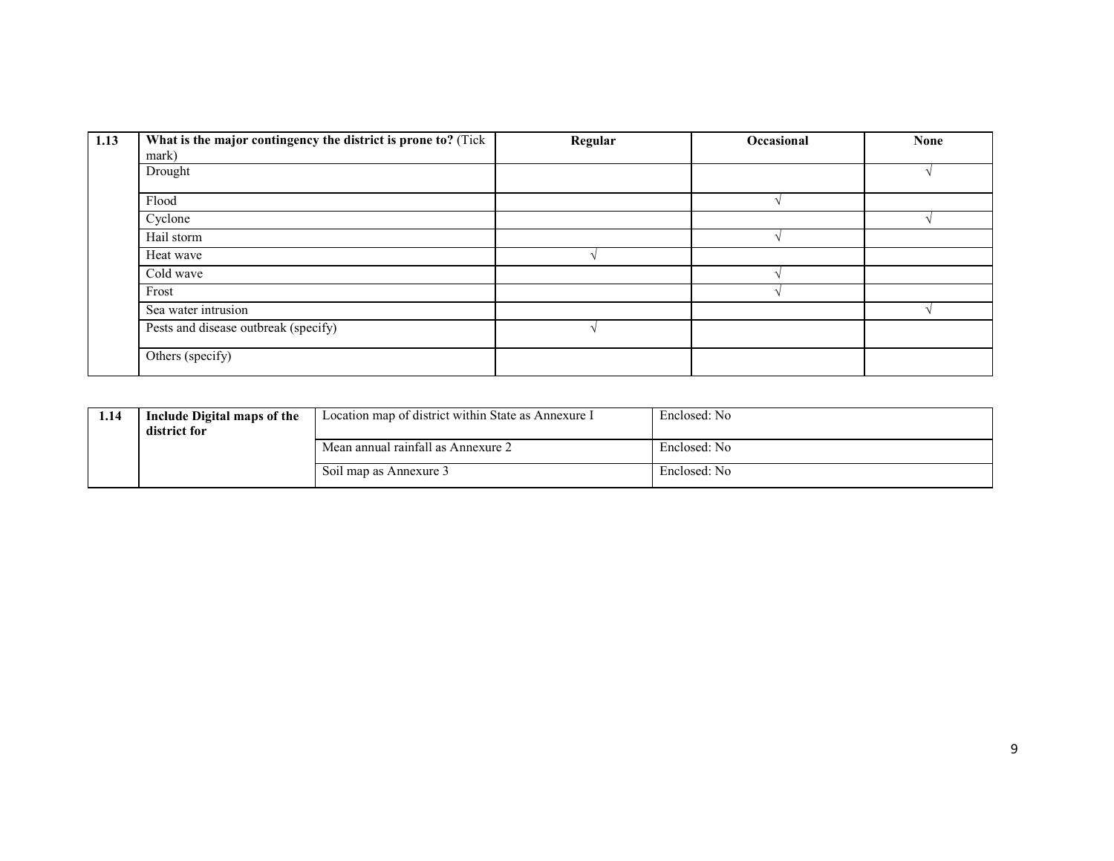| 1.13 | What is the major contingency the district is prone to? (Tick | Regular | Occasional | <b>None</b> |
|------|---------------------------------------------------------------|---------|------------|-------------|
|      | mark)                                                         |         |            |             |
|      | Drought                                                       |         |            |             |
|      | Flood                                                         |         |            |             |
|      | Cyclone                                                       |         |            |             |
|      | Hail storm                                                    |         |            |             |
|      | Heat wave                                                     |         |            |             |
|      | Cold wave                                                     |         |            |             |
|      | Frost                                                         |         |            |             |
|      | Sea water intrusion                                           |         |            |             |
|      | Pests and disease outbreak (specify)                          |         |            |             |
|      | Others (specify)                                              |         |            |             |

| 1.14 | Include Digital maps of the<br>district for | Location map of district within State as Annexure I | Enclosed: No |
|------|---------------------------------------------|-----------------------------------------------------|--------------|
|      |                                             | Mean annual rainfall as Annexure 2                  | Enclosed: No |
|      |                                             | Soil map as Annexure 3                              | Enclosed: No |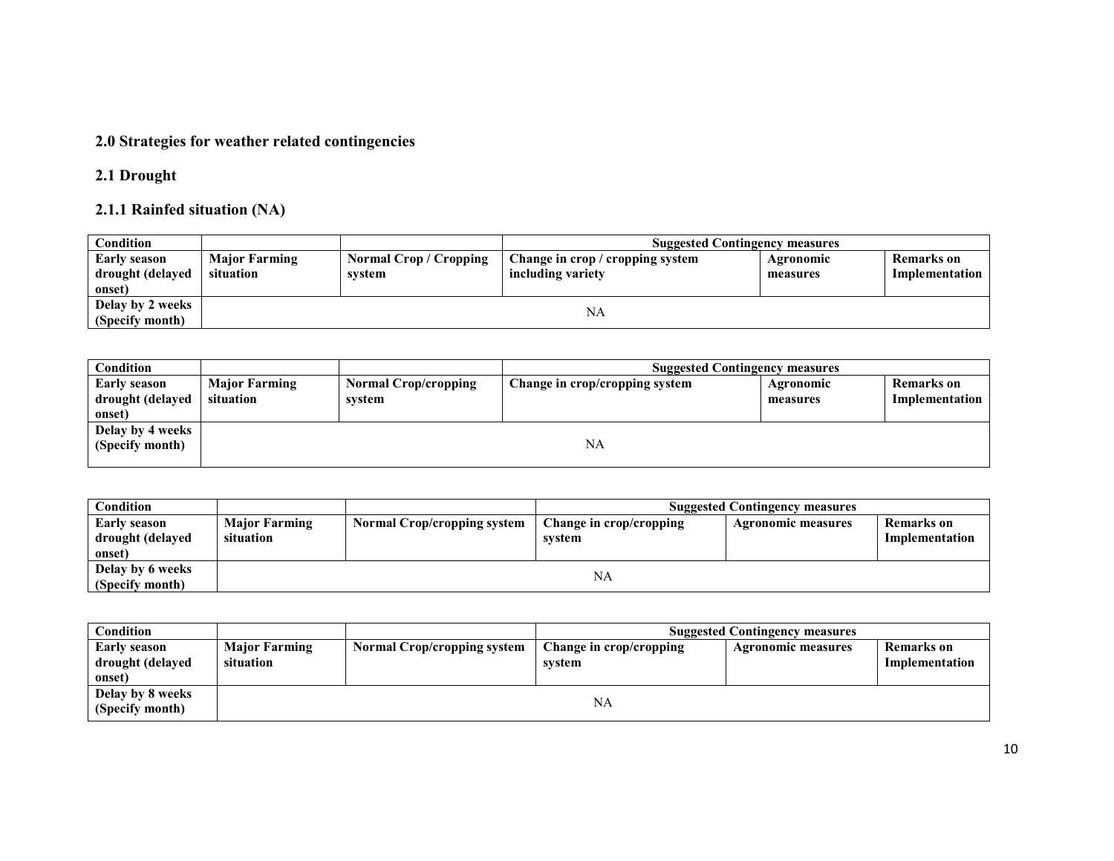#### 2.0 Strategies for weather related contingencies

### 2.1 Drought

### 2.1.1 Rainfed situation (NA)

| Condition                                  |                                   |                                         | <b>Suggested Contingency measures</b>                 |                       |                              |
|--------------------------------------------|-----------------------------------|-----------------------------------------|-------------------------------------------------------|-----------------------|------------------------------|
| Early season<br>drought (delayed<br>onset) | <b>Major Farming</b><br>situation | <b>Normal Crop / Cropping</b><br>system | Change in crop / cropping system<br>including variety | Agronomic<br>measures | Remarks on<br>Implementation |
| Delay by 2 weeks<br>(Specify month)        |                                   |                                         | NA                                                    |                       |                              |

| Condition           |                      |                             | <b>Suggested Contingency measures</b> |           |                |
|---------------------|----------------------|-----------------------------|---------------------------------------|-----------|----------------|
| <b>Early season</b> | <b>Major Farming</b> | <b>Normal Crop/cropping</b> | Change in crop/cropping system        | Agronomic | Remarks on     |
| drought (delayed    | situation            | system                      |                                       | measures  | Implementation |
| onset)              |                      |                             |                                       |           |                |
| Delay by 4 weeks    |                      |                             |                                       |           |                |
| (Specify month)     |                      |                             | NA                                    |           |                |
|                     |                      |                             |                                       |           |                |

| Condition                                         |                                   |                             |                                   | <b>Suggested Contingency measures</b> |                                     |
|---------------------------------------------------|-----------------------------------|-----------------------------|-----------------------------------|---------------------------------------|-------------------------------------|
| <b>Early season</b><br>drought (delayed<br>onset) | <b>Major Farming</b><br>situation | Normal Crop/cropping system | Change in crop/cropping<br>svstem | <b>Agronomic measures</b>             | <b>Remarks</b> on<br>Implementation |
| Delay by 6 weeks<br>(Specify month)               |                                   |                             | NA                                |                                       |                                     |

| Condition                                         |                                   |                                    |                                   | <b>Suggested Contingency measures</b> |                                     |
|---------------------------------------------------|-----------------------------------|------------------------------------|-----------------------------------|---------------------------------------|-------------------------------------|
| <b>Early season</b><br>drought (delayed<br>onset) | <b>Major Farming</b><br>situation | <b>Normal Crop/cropping system</b> | Change in crop/cropping<br>svstem | <b>Agronomic measures</b>             | <b>Remarks</b> on<br>Implementation |
| Delay by 8 weeks<br>(Specify month)               |                                   |                                    | NA                                |                                       |                                     |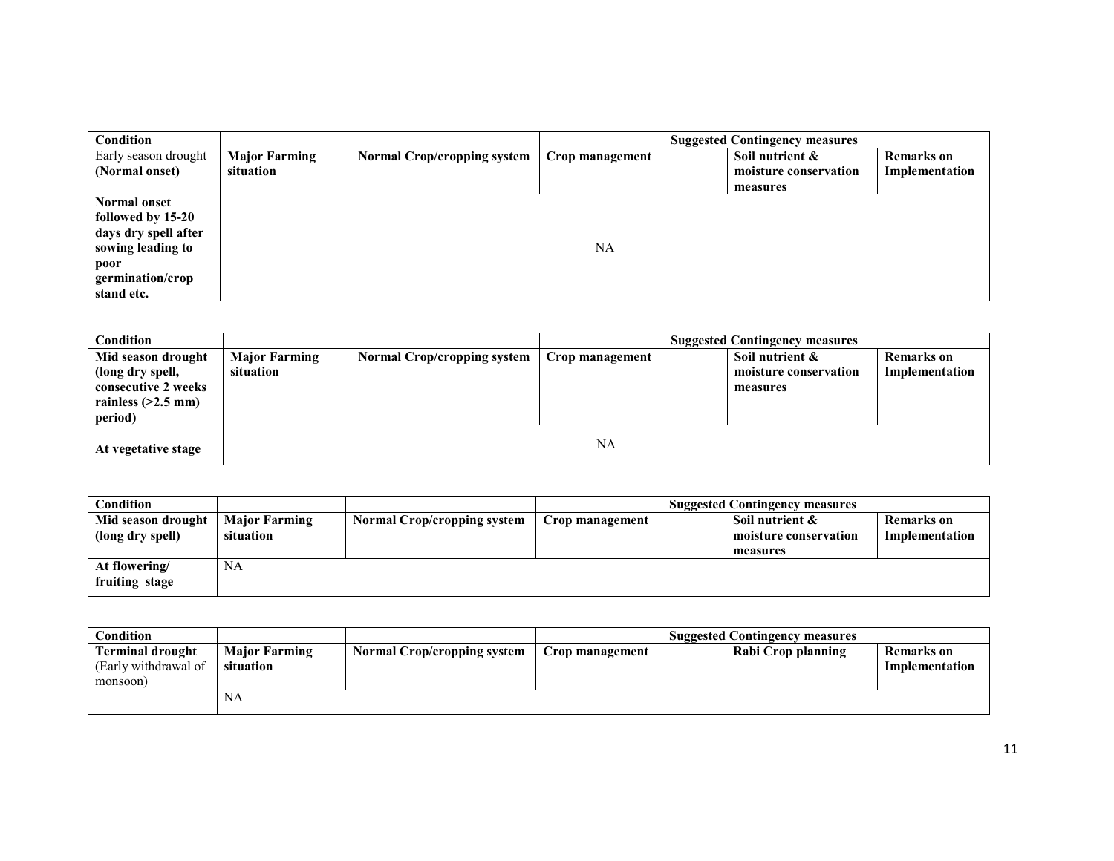| Condition                                                                                                                       |                                   |                                    |                 | <b>Suggested Contingency measures</b>                |                                     |
|---------------------------------------------------------------------------------------------------------------------------------|-----------------------------------|------------------------------------|-----------------|------------------------------------------------------|-------------------------------------|
| Early season drought<br>(Normal onset)                                                                                          | <b>Major Farming</b><br>situation | <b>Normal Crop/cropping system</b> | Crop management | Soil nutrient &<br>moisture conservation<br>measures | <b>Remarks</b> on<br>Implementation |
| <b>Normal onset</b><br>followed by 15-20<br>days dry spell after<br>sowing leading to<br>poor<br>germination/crop<br>stand etc. |                                   |                                    | NA              |                                                      |                                     |

| <b>Condition</b>                                                                                 |                                   |                             | <b>Suggested Contingency measures</b> |                                                      |                                     |
|--------------------------------------------------------------------------------------------------|-----------------------------------|-----------------------------|---------------------------------------|------------------------------------------------------|-------------------------------------|
| Mid season drought<br>(long dry spell,<br>consecutive 2 weeks<br>rainless $(>2.5$ mm)<br>period) | <b>Major Farming</b><br>situation | Normal Crop/cropping system | Crop management                       | Soil nutrient &<br>moisture conservation<br>measures | <b>Remarks</b> on<br>Implementation |
| At vegetative stage                                                                              |                                   |                             | NA                                    |                                                      |                                     |

| Condition          |                      |                                    |                 | <b>Suggested Contingency measures</b> |                   |
|--------------------|----------------------|------------------------------------|-----------------|---------------------------------------|-------------------|
| Mid season drought | <b>Major Farming</b> | <b>Normal Crop/cropping system</b> | Crop management | Soil nutrient $\&$                    | <b>Remarks</b> on |
| (long dry spell)   | situation            |                                    |                 | moisture conservation                 | Implementation    |
|                    |                      |                                    |                 | measures                              |                   |
| At flowering/      | NA                   |                                    |                 |                                       |                   |
| fruiting stage     |                      |                                    |                 |                                       |                   |

| Condition                                                   |                                   |                                    |                 | <b>Suggested Contingency measures</b> |                                     |
|-------------------------------------------------------------|-----------------------------------|------------------------------------|-----------------|---------------------------------------|-------------------------------------|
| <b>Terminal drought</b><br>(Early withdrawal of<br>monsoon) | <b>Major Farming</b><br>situation | <b>Normal Crop/cropping system</b> | Crop management | Rabi Crop planning                    | <b>Remarks</b> on<br>Implementation |
|                                                             | NA                                |                                    |                 |                                       |                                     |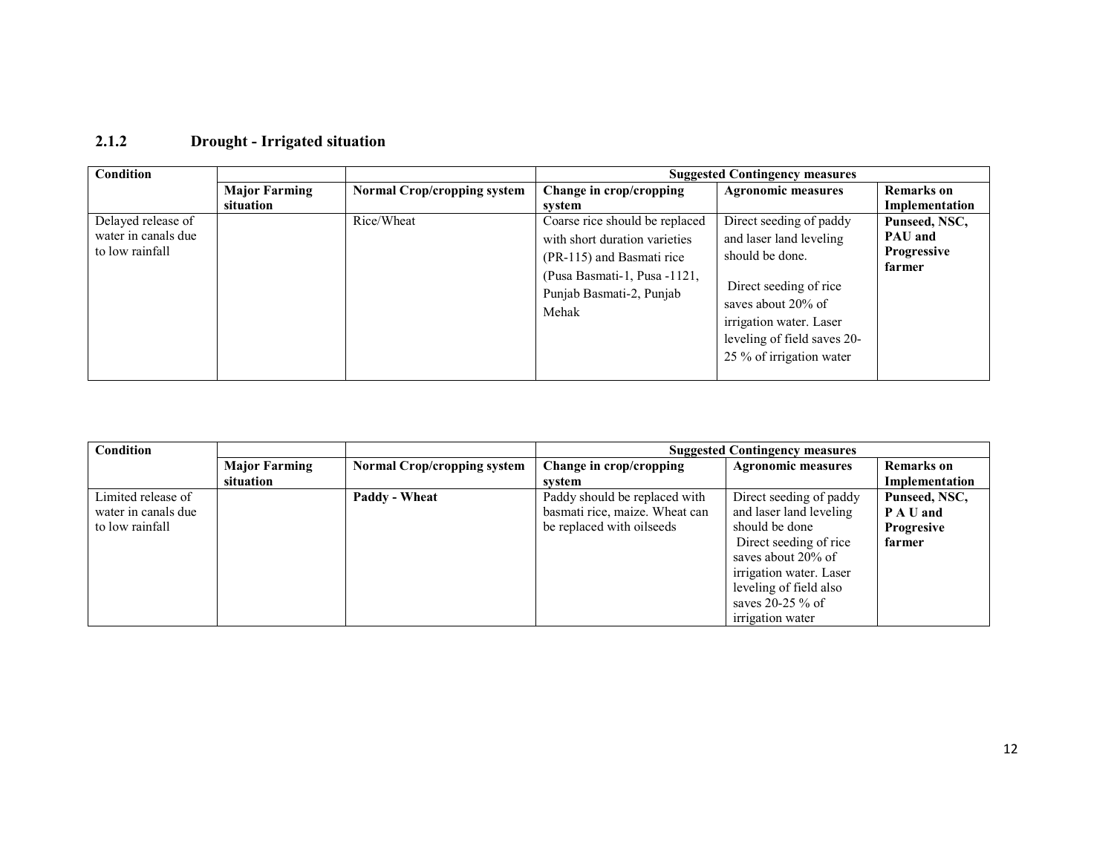### 2.1.2 Drought - Irrigated situation

| Condition                                                    |                      |                                    | <b>Suggested Contingency measures</b>                                                                                                                             |                                                                                                                                                                                                             |                                                                 |
|--------------------------------------------------------------|----------------------|------------------------------------|-------------------------------------------------------------------------------------------------------------------------------------------------------------------|-------------------------------------------------------------------------------------------------------------------------------------------------------------------------------------------------------------|-----------------------------------------------------------------|
|                                                              | <b>Major Farming</b> | <b>Normal Crop/cropping system</b> | Change in crop/cropping                                                                                                                                           | <b>Agronomic measures</b>                                                                                                                                                                                   | <b>Remarks</b> on                                               |
|                                                              | situation            |                                    | system                                                                                                                                                            |                                                                                                                                                                                                             | Implementation                                                  |
| Delayed release of<br>water in canals due<br>to low rainfall |                      | Rice/Wheat                         | Coarse rice should be replaced<br>with short duration varieties<br>(PR-115) and Basmati rice<br>(Pusa Basmati-1, Pusa -1121,<br>Punjab Basmati-2, Punjab<br>Mehak | Direct seeding of paddy<br>and laser land leveling<br>should be done.<br>Direct seeding of rice<br>saves about 20% of<br>irrigation water. Laser<br>leveling of field saves 20-<br>25 % of irrigation water | Punseed, NSC,<br><b>PAU</b> and<br><b>Progressive</b><br>farmer |
|                                                              |                      |                                    |                                                                                                                                                                   |                                                                                                                                                                                                             |                                                                 |

| Condition           |                      |                                    | <b>Suggested Contingency measures</b> |                           |                   |
|---------------------|----------------------|------------------------------------|---------------------------------------|---------------------------|-------------------|
|                     | <b>Major Farming</b> | <b>Normal Crop/cropping system</b> | Change in crop/cropping               | <b>Agronomic measures</b> | <b>Remarks</b> on |
|                     | situation            |                                    | system                                |                           | Implementation    |
| Limited release of  |                      | Paddy - Wheat                      | Paddy should be replaced with         | Direct seeding of paddy   | Punseed, NSC,     |
| water in canals due |                      |                                    | basmati rice, maize. Wheat can        | and laser land leveling   | P A U and         |
| to low rainfall     |                      |                                    | be replaced with oilseeds             | should be done            | <b>Progresive</b> |
|                     |                      |                                    |                                       | Direct seeding of rice    | farmer            |
|                     |                      |                                    |                                       | saves about 20% of        |                   |
|                     |                      |                                    |                                       | irrigation water. Laser   |                   |
|                     |                      |                                    |                                       | leveling of field also    |                   |
|                     |                      |                                    |                                       | saves $20-25\%$ of        |                   |
|                     |                      |                                    |                                       | irrigation water          |                   |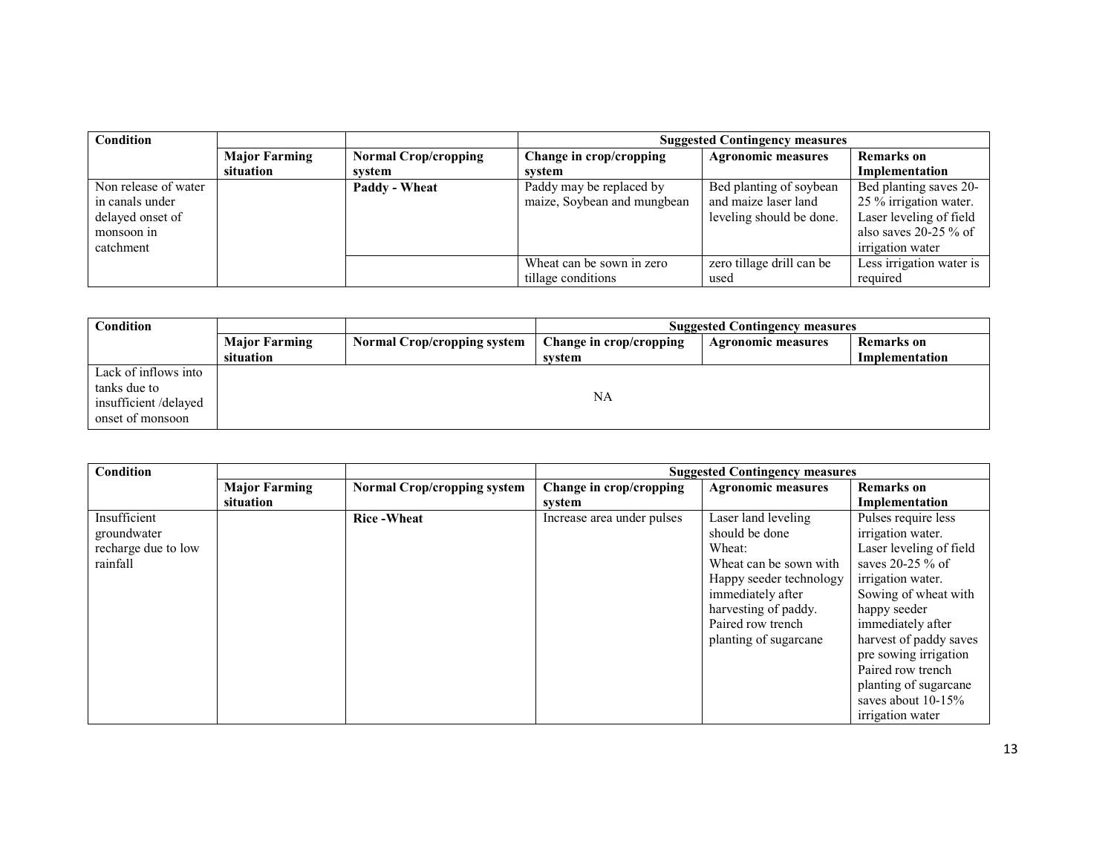| <b>Condition</b>     |                      | <b>Suggested Contingency measures</b> |                             |                           |                          |
|----------------------|----------------------|---------------------------------------|-----------------------------|---------------------------|--------------------------|
|                      | <b>Major Farming</b> | <b>Normal Crop/cropping</b>           | Change in crop/cropping     | <b>Agronomic measures</b> | <b>Remarks</b> on        |
|                      | situation            | svstem                                | system                      |                           | Implementation           |
| Non release of water |                      | Paddy - Wheat                         | Paddy may be replaced by    | Bed planting of soybean   | Bed planting saves 20-   |
| in canals under      |                      |                                       | maize, Soybean and mungbean | and maize laser land      | 25 % irrigation water.   |
| delayed onset of     |                      |                                       |                             | leveling should be done.  | Laser leveling of field  |
| monsoon in           |                      |                                       |                             |                           | also saves $20-25\%$ of  |
| catchment            |                      |                                       |                             |                           | irrigation water         |
|                      |                      |                                       | Wheat can be sown in zero   | zero tillage drill can be | Less irrigation water is |
|                      |                      |                                       | tillage conditions          | used                      | required                 |

| Condition                                                                        |                                   | <b>Suggested Contingency measures</b> |                                   |                           |                                     |
|----------------------------------------------------------------------------------|-----------------------------------|---------------------------------------|-----------------------------------|---------------------------|-------------------------------------|
|                                                                                  | <b>Major Farming</b><br>situation | <b>Normal Crop/cropping system</b>    | Change in crop/cropping<br>system | <b>Agronomic measures</b> | <b>Remarks</b> on<br>Implementation |
| Lack of inflows into<br>tanks due to<br>insufficient/delayed<br>onset of monsoon |                                   |                                       | NA                                |                           |                                     |

| Condition           |                      |                                    | <b>Suggested Contingency measures</b> |                           |                         |
|---------------------|----------------------|------------------------------------|---------------------------------------|---------------------------|-------------------------|
|                     | <b>Major Farming</b> | <b>Normal Crop/cropping system</b> | Change in crop/cropping               | <b>Agronomic measures</b> | <b>Remarks</b> on       |
|                     | situation            |                                    | system                                |                           | Implementation          |
| Insufficient        |                      | <b>Rice-Wheat</b>                  | Increase area under pulses            | Laser land leveling       | Pulses require less     |
| groundwater         |                      |                                    |                                       | should be done            | irrigation water.       |
| recharge due to low |                      |                                    |                                       | Wheat:                    | Laser leveling of field |
| rainfall            |                      |                                    |                                       | Wheat can be sown with    | saves $20-25%$ of       |
|                     |                      |                                    |                                       | Happy seeder technology   | irrigation water.       |
|                     |                      |                                    |                                       | immediately after         | Sowing of wheat with    |
|                     |                      |                                    |                                       | harvesting of paddy.      | happy seeder            |
|                     |                      |                                    |                                       | Paired row trench         | immediately after       |
|                     |                      |                                    |                                       | planting of sugarcane     | harvest of paddy saves  |
|                     |                      |                                    |                                       |                           | pre sowing irrigation   |
|                     |                      |                                    |                                       |                           | Paired row trench       |
|                     |                      |                                    |                                       |                           | planting of sugarcane   |
|                     |                      |                                    |                                       |                           | saves about $10-15%$    |
|                     |                      |                                    |                                       |                           | irrigation water        |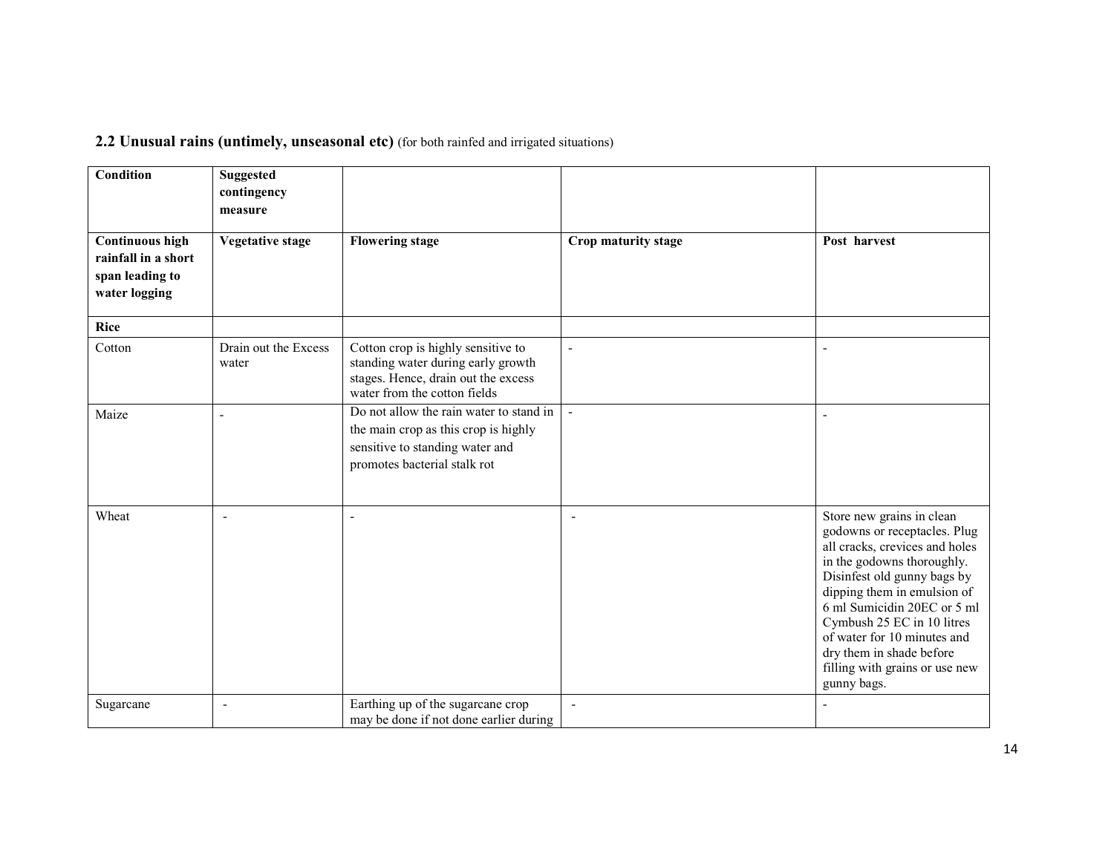### 2.2 Unusual rains (untimely, unseasonal etc) (for both rainfed and irrigated situations)

| Condition                                                                         | <b>Suggested</b><br>contingency<br>measure |                                                                                                                                                    |                          |                                                                                                                                                                                                                                                                                                                                                                  |
|-----------------------------------------------------------------------------------|--------------------------------------------|----------------------------------------------------------------------------------------------------------------------------------------------------|--------------------------|------------------------------------------------------------------------------------------------------------------------------------------------------------------------------------------------------------------------------------------------------------------------------------------------------------------------------------------------------------------|
| <b>Continuous high</b><br>rainfall in a short<br>span leading to<br>water logging | <b>Vegetative stage</b>                    | <b>Flowering stage</b>                                                                                                                             | Crop maturity stage      | Post harvest                                                                                                                                                                                                                                                                                                                                                     |
| Rice                                                                              |                                            |                                                                                                                                                    |                          |                                                                                                                                                                                                                                                                                                                                                                  |
| Cotton                                                                            | Drain out the Excess<br>water              | Cotton crop is highly sensitive to<br>standing water during early growth<br>stages. Hence, drain out the excess<br>water from the cotton fields    | $\blacksquare$           |                                                                                                                                                                                                                                                                                                                                                                  |
| Maize                                                                             | L,                                         | Do not allow the rain water to stand in<br>the main crop as this crop is highly<br>sensitive to standing water and<br>promotes bacterial stalk rot | $\blacksquare$           |                                                                                                                                                                                                                                                                                                                                                                  |
| Wheat                                                                             | L.                                         |                                                                                                                                                    | $\overline{\phantom{a}}$ | Store new grains in clean<br>godowns or receptacles. Plug<br>all cracks, crevices and holes<br>in the godowns thoroughly.<br>Disinfest old gunny bags by<br>dipping them in emulsion of<br>6 ml Sumicidin 20EC or 5 ml<br>Cymbush 25 EC in 10 litres<br>of water for 10 minutes and<br>dry them in shade before<br>filling with grains or use new<br>gunny bags. |
| Sugarcane                                                                         | ÷,                                         | Earthing up of the sugarcane crop<br>may be done if not done earlier during                                                                        | $\blacksquare$           |                                                                                                                                                                                                                                                                                                                                                                  |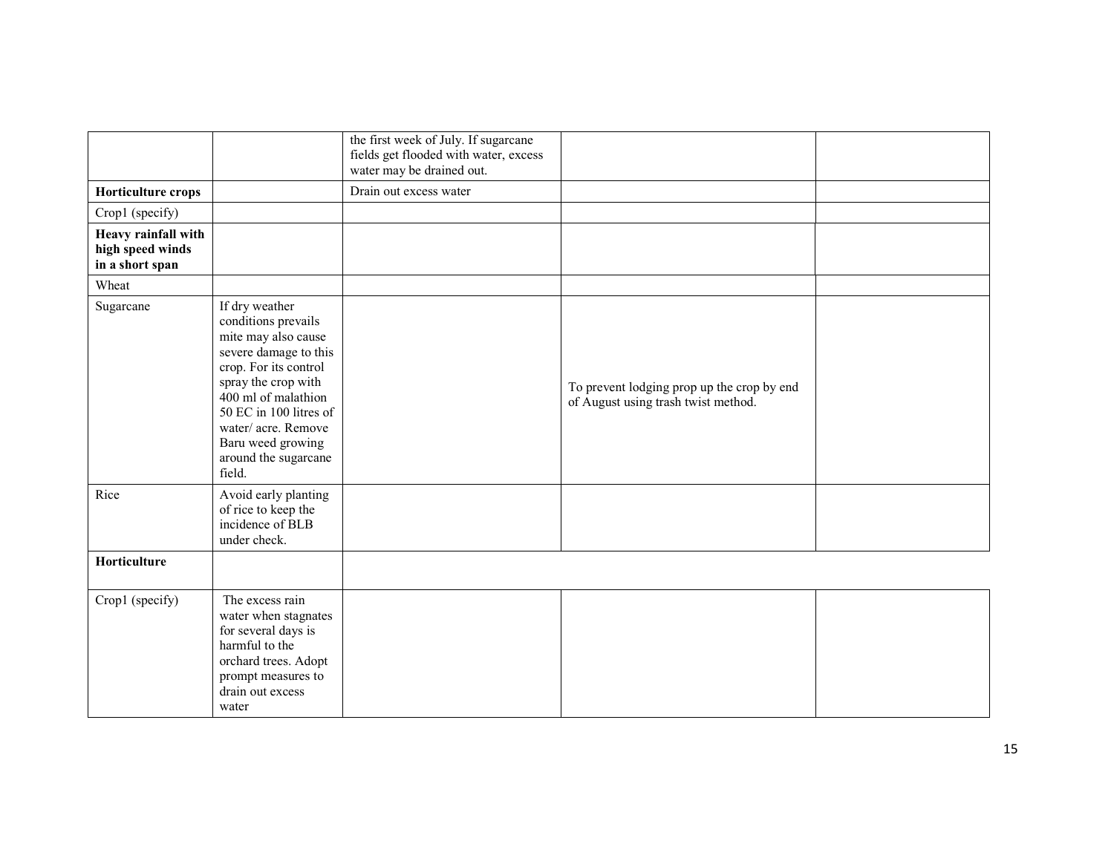|                                                            |                                                                                                                                                                                                                                                                     | the first week of July. If sugarcane<br>fields get flooded with water, excess<br>water may be drained out. |                                                                                   |  |
|------------------------------------------------------------|---------------------------------------------------------------------------------------------------------------------------------------------------------------------------------------------------------------------------------------------------------------------|------------------------------------------------------------------------------------------------------------|-----------------------------------------------------------------------------------|--|
| <b>Horticulture crops</b>                                  |                                                                                                                                                                                                                                                                     | Drain out excess water                                                                                     |                                                                                   |  |
| Crop1 (specify)                                            |                                                                                                                                                                                                                                                                     |                                                                                                            |                                                                                   |  |
| Heavy rainfall with<br>high speed winds<br>in a short span |                                                                                                                                                                                                                                                                     |                                                                                                            |                                                                                   |  |
| Wheat                                                      |                                                                                                                                                                                                                                                                     |                                                                                                            |                                                                                   |  |
| Sugarcane                                                  | If dry weather<br>conditions prevails<br>mite may also cause<br>severe damage to this<br>crop. For its control<br>spray the crop with<br>400 ml of malathion<br>50 EC in 100 litres of<br>water/acre. Remove<br>Baru weed growing<br>around the sugarcane<br>field. |                                                                                                            | To prevent lodging prop up the crop by end<br>of August using trash twist method. |  |
| Rice                                                       | Avoid early planting<br>of rice to keep the<br>incidence of BLB<br>under check.                                                                                                                                                                                     |                                                                                                            |                                                                                   |  |
| Horticulture                                               |                                                                                                                                                                                                                                                                     |                                                                                                            |                                                                                   |  |
| Crop1 (specify)                                            | The excess rain<br>water when stagnates<br>for several days is<br>harmful to the<br>orchard trees. Adopt<br>prompt measures to<br>drain out excess<br>water                                                                                                         |                                                                                                            |                                                                                   |  |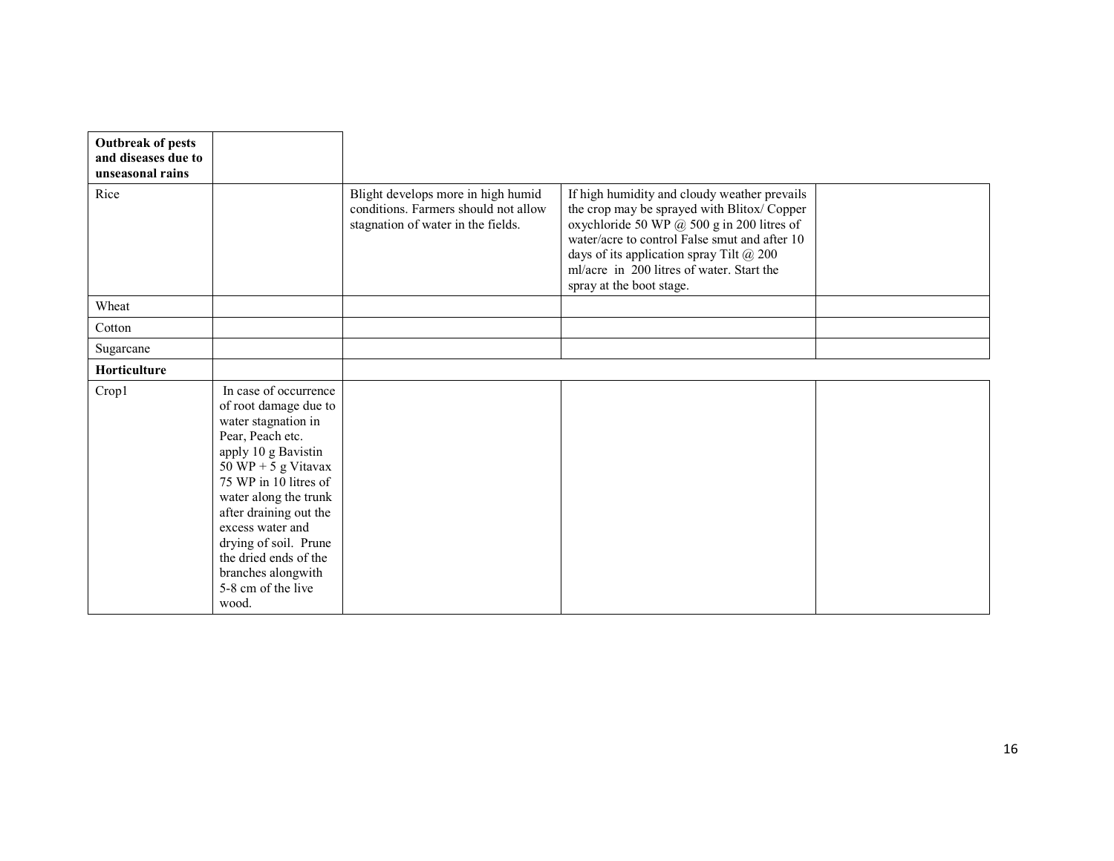| <b>Outbreak of pests</b><br>and diseases due to<br>unseasonal rains |                                                                                                                                                                                                                                                                                                                                                |                                                                                                                  |                                                                                                                                                                                                                                                                                                                       |  |
|---------------------------------------------------------------------|------------------------------------------------------------------------------------------------------------------------------------------------------------------------------------------------------------------------------------------------------------------------------------------------------------------------------------------------|------------------------------------------------------------------------------------------------------------------|-----------------------------------------------------------------------------------------------------------------------------------------------------------------------------------------------------------------------------------------------------------------------------------------------------------------------|--|
| Rice                                                                |                                                                                                                                                                                                                                                                                                                                                | Blight develops more in high humid<br>conditions. Farmers should not allow<br>stagnation of water in the fields. | If high humidity and cloudy weather prevails<br>the crop may be sprayed with Blitox/Copper<br>oxychloride 50 WP @ 500 g in 200 litres of<br>water/acre to control False smut and after 10<br>days of its application spray Tilt $\omega$ 200<br>ml/acre in 200 litres of water. Start the<br>spray at the boot stage. |  |
| Wheat                                                               |                                                                                                                                                                                                                                                                                                                                                |                                                                                                                  |                                                                                                                                                                                                                                                                                                                       |  |
| Cotton                                                              |                                                                                                                                                                                                                                                                                                                                                |                                                                                                                  |                                                                                                                                                                                                                                                                                                                       |  |
| Sugarcane                                                           |                                                                                                                                                                                                                                                                                                                                                |                                                                                                                  |                                                                                                                                                                                                                                                                                                                       |  |
| Horticulture                                                        |                                                                                                                                                                                                                                                                                                                                                |                                                                                                                  |                                                                                                                                                                                                                                                                                                                       |  |
| Crop1                                                               | In case of occurrence<br>of root damage due to<br>water stagnation in<br>Pear, Peach etc.<br>apply 10 g Bavistin<br>50 WP + 5 g Vitavax<br>75 WP in 10 litres of<br>water along the trunk<br>after draining out the<br>excess water and<br>drying of soil. Prune<br>the dried ends of the<br>branches alongwith<br>5-8 cm of the live<br>wood. |                                                                                                                  |                                                                                                                                                                                                                                                                                                                       |  |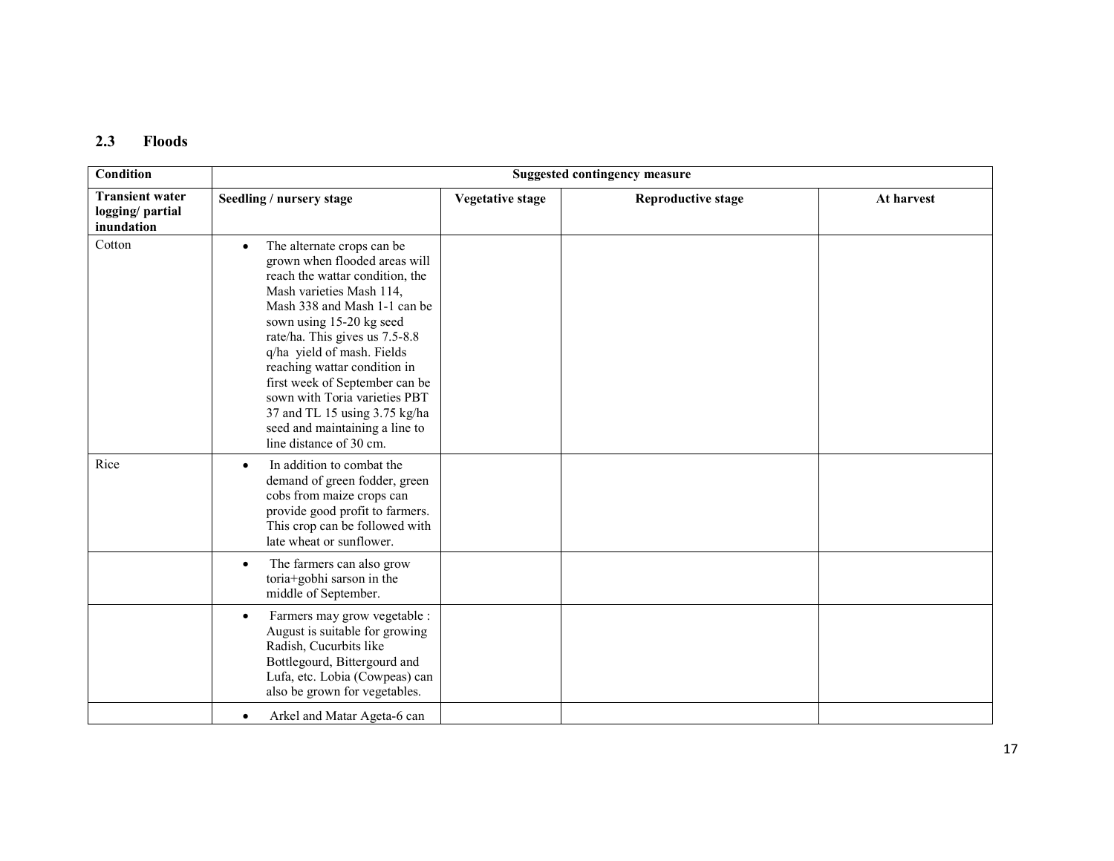#### 2.3 Floods

| Condition                                               |                                                                                                                                                                                                                                                                                                                                                                                                                                                                      | <b>Suggested contingency measure</b> |                           |            |  |  |  |
|---------------------------------------------------------|----------------------------------------------------------------------------------------------------------------------------------------------------------------------------------------------------------------------------------------------------------------------------------------------------------------------------------------------------------------------------------------------------------------------------------------------------------------------|--------------------------------------|---------------------------|------------|--|--|--|
| <b>Transient water</b><br>logging/partial<br>inundation | Seedling / nursery stage                                                                                                                                                                                                                                                                                                                                                                                                                                             | <b>Vegetative stage</b>              | <b>Reproductive stage</b> | At harvest |  |  |  |
| Cotton                                                  | The alternate crops can be<br>$\bullet$<br>grown when flooded areas will<br>reach the wattar condition, the<br>Mash varieties Mash 114,<br>Mash 338 and Mash 1-1 can be<br>sown using 15-20 kg seed<br>rate/ha. This gives us 7.5-8.8<br>q/ha yield of mash. Fields<br>reaching wattar condition in<br>first week of September can be<br>sown with Toria varieties PBT<br>37 and TL 15 using 3.75 kg/ha<br>seed and maintaining a line to<br>line distance of 30 cm. |                                      |                           |            |  |  |  |
| Rice                                                    | In addition to combat the<br>$\bullet$<br>demand of green fodder, green<br>cobs from maize crops can<br>provide good profit to farmers.<br>This crop can be followed with<br>late wheat or sunflower.                                                                                                                                                                                                                                                                |                                      |                           |            |  |  |  |
|                                                         | The farmers can also grow<br>toria+gobhi sarson in the<br>middle of September.                                                                                                                                                                                                                                                                                                                                                                                       |                                      |                           |            |  |  |  |
|                                                         | Farmers may grow vegetable :<br>$\bullet$<br>August is suitable for growing<br>Radish, Cucurbits like<br>Bottlegourd, Bittergourd and<br>Lufa, etc. Lobia (Cowpeas) can<br>also be grown for vegetables.                                                                                                                                                                                                                                                             |                                      |                           |            |  |  |  |
|                                                         | Arkel and Matar Ageta-6 can<br>$\bullet$                                                                                                                                                                                                                                                                                                                                                                                                                             |                                      |                           |            |  |  |  |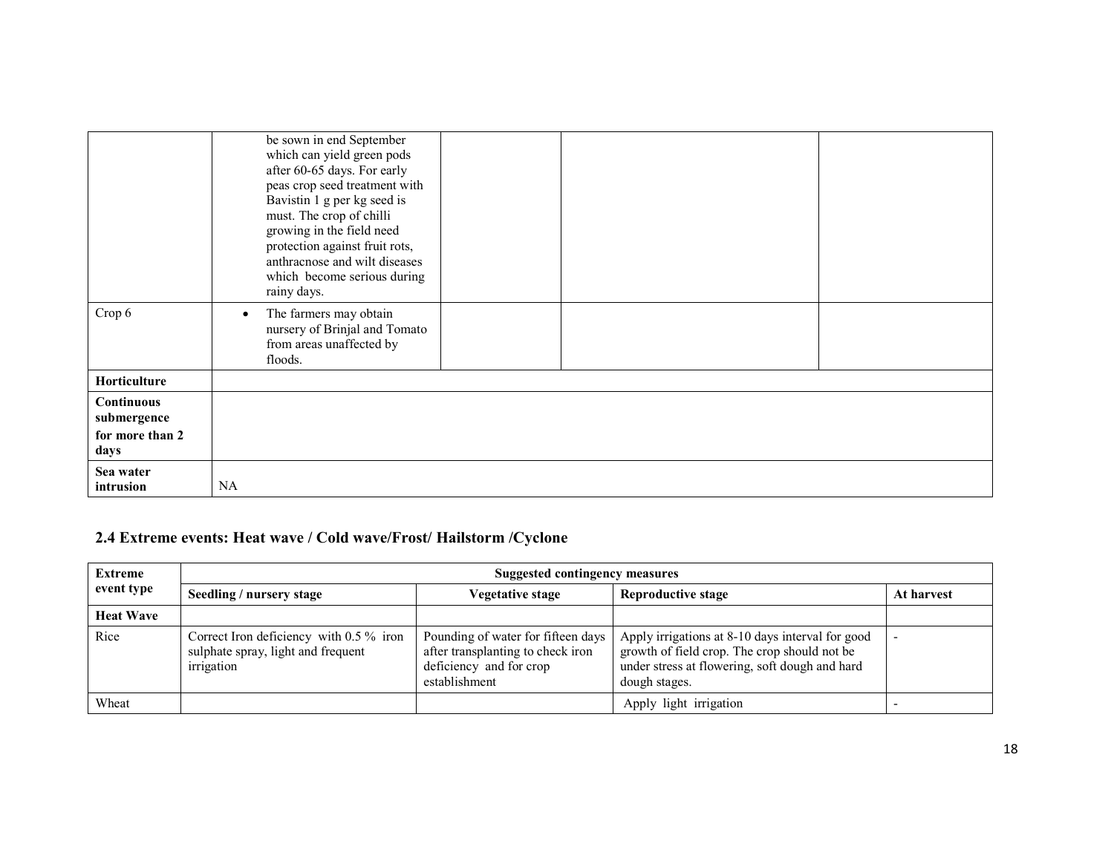|                                                             | be sown in end September<br>which can yield green pods<br>after 60-65 days. For early<br>peas crop seed treatment with<br>Bavistin 1 g per kg seed is<br>must. The crop of chilli<br>growing in the field need<br>protection against fruit rots,<br>anthracnose and wilt diseases<br>which become serious during<br>rainy days. |
|-------------------------------------------------------------|---------------------------------------------------------------------------------------------------------------------------------------------------------------------------------------------------------------------------------------------------------------------------------------------------------------------------------|
| Crop 6                                                      | The farmers may obtain<br>$\bullet$<br>nursery of Brinjal and Tomato<br>from areas unaffected by<br>floods.                                                                                                                                                                                                                     |
| Horticulture                                                |                                                                                                                                                                                                                                                                                                                                 |
| <b>Continuous</b><br>submergence<br>for more than 2<br>days |                                                                                                                                                                                                                                                                                                                                 |
| Sea water<br>intrusion                                      | NA                                                                                                                                                                                                                                                                                                                              |

## 2.4 Extreme events: Heat wave / Cold wave/Frost/ Hailstorm /Cyclone

| <b>Extreme</b>   | Suggested contingency measures                                                                |                                                                                                                     |                                                                                                                                                                     |            |  |  |
|------------------|-----------------------------------------------------------------------------------------------|---------------------------------------------------------------------------------------------------------------------|---------------------------------------------------------------------------------------------------------------------------------------------------------------------|------------|--|--|
| event type       | Seedling / nursery stage                                                                      | <b>Vegetative stage</b>                                                                                             | <b>Reproductive stage</b>                                                                                                                                           | At harvest |  |  |
| <b>Heat Wave</b> |                                                                                               |                                                                                                                     |                                                                                                                                                                     |            |  |  |
| Rice             | Correct Iron deficiency with $0.5\%$ iron<br>sulphate spray, light and frequent<br>irrigation | Pounding of water for fifteen days<br>after transplanting to check iron<br>deficiency and for crop<br>establishment | Apply irrigations at 8-10 days interval for good<br>growth of field crop. The crop should not be<br>under stress at flowering, soft dough and hard<br>dough stages. |            |  |  |
| Wheat            |                                                                                               |                                                                                                                     | Apply light irrigation                                                                                                                                              |            |  |  |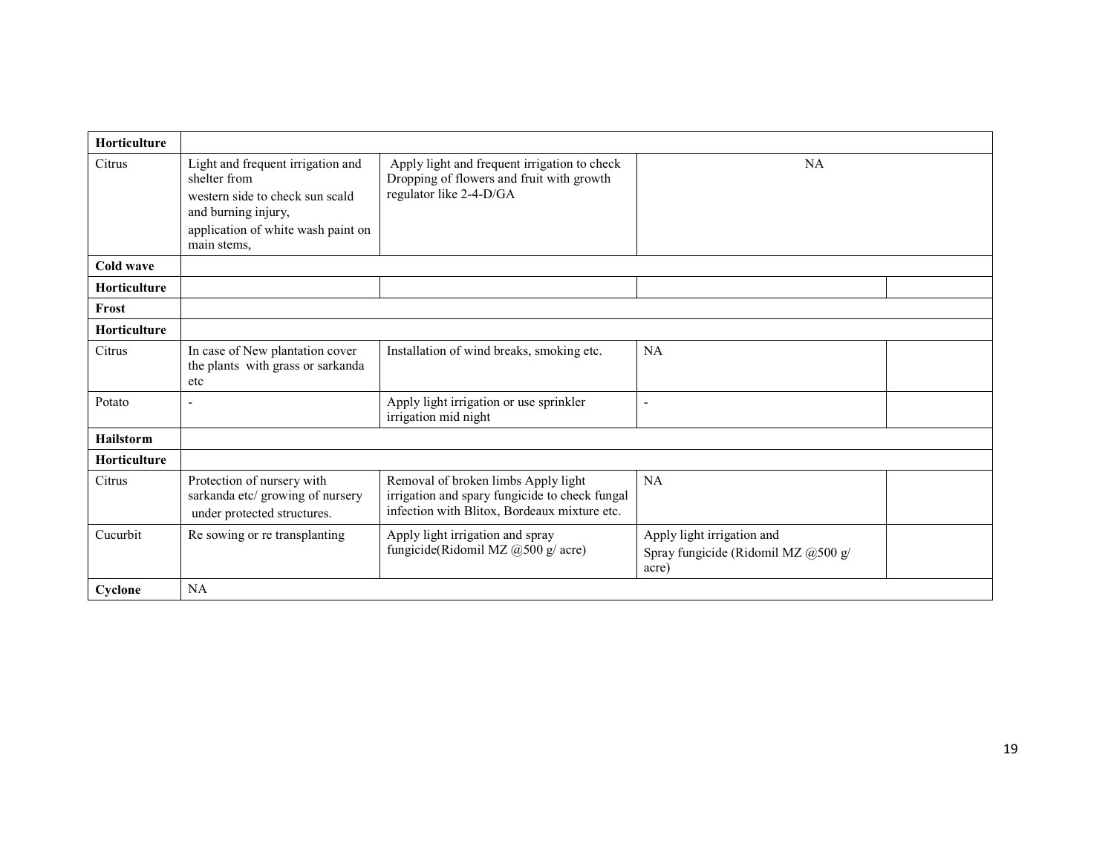| <b>Horticulture</b> |                                                                                                                                                                  |                                                                                                                                       |                                                                            |  |
|---------------------|------------------------------------------------------------------------------------------------------------------------------------------------------------------|---------------------------------------------------------------------------------------------------------------------------------------|----------------------------------------------------------------------------|--|
| Citrus              | Light and frequent irrigation and<br>shelter from<br>western side to check sun scald<br>and burning injury,<br>application of white wash paint on<br>main stems, | Apply light and frequent irrigation to check<br>Dropping of flowers and fruit with growth<br>regulator like 2-4-D/GA                  | <b>NA</b>                                                                  |  |
| Cold wave           |                                                                                                                                                                  |                                                                                                                                       |                                                                            |  |
| <b>Horticulture</b> |                                                                                                                                                                  |                                                                                                                                       |                                                                            |  |
| Frost               |                                                                                                                                                                  |                                                                                                                                       |                                                                            |  |
| Horticulture        |                                                                                                                                                                  |                                                                                                                                       |                                                                            |  |
| Citrus              | In case of New plantation cover<br>the plants with grass or sarkanda<br>etc                                                                                      | Installation of wind breaks, smoking etc.                                                                                             | NA                                                                         |  |
| Potato              | $\tilde{\phantom{a}}$                                                                                                                                            | Apply light irrigation or use sprinkler<br>irrigation mid night                                                                       | ٠                                                                          |  |
| <b>Hailstorm</b>    |                                                                                                                                                                  |                                                                                                                                       |                                                                            |  |
| Horticulture        |                                                                                                                                                                  |                                                                                                                                       |                                                                            |  |
| Citrus              | Protection of nursery with<br>sarkanda etc/ growing of nursery<br>under protected structures.                                                                    | Removal of broken limbs Apply light<br>irrigation and spary fungicide to check fungal<br>infection with Blitox, Bordeaux mixture etc. | <b>NA</b>                                                                  |  |
| Cucurbit            | Re sowing or re transplanting                                                                                                                                    | Apply light irrigation and spray<br>fungicide(Ridomil MZ @500 g/ acre)                                                                | Apply light irrigation and<br>Spray fungicide (Ridomil MZ @500 g/<br>acre) |  |
| Cyclone             | NA                                                                                                                                                               |                                                                                                                                       |                                                                            |  |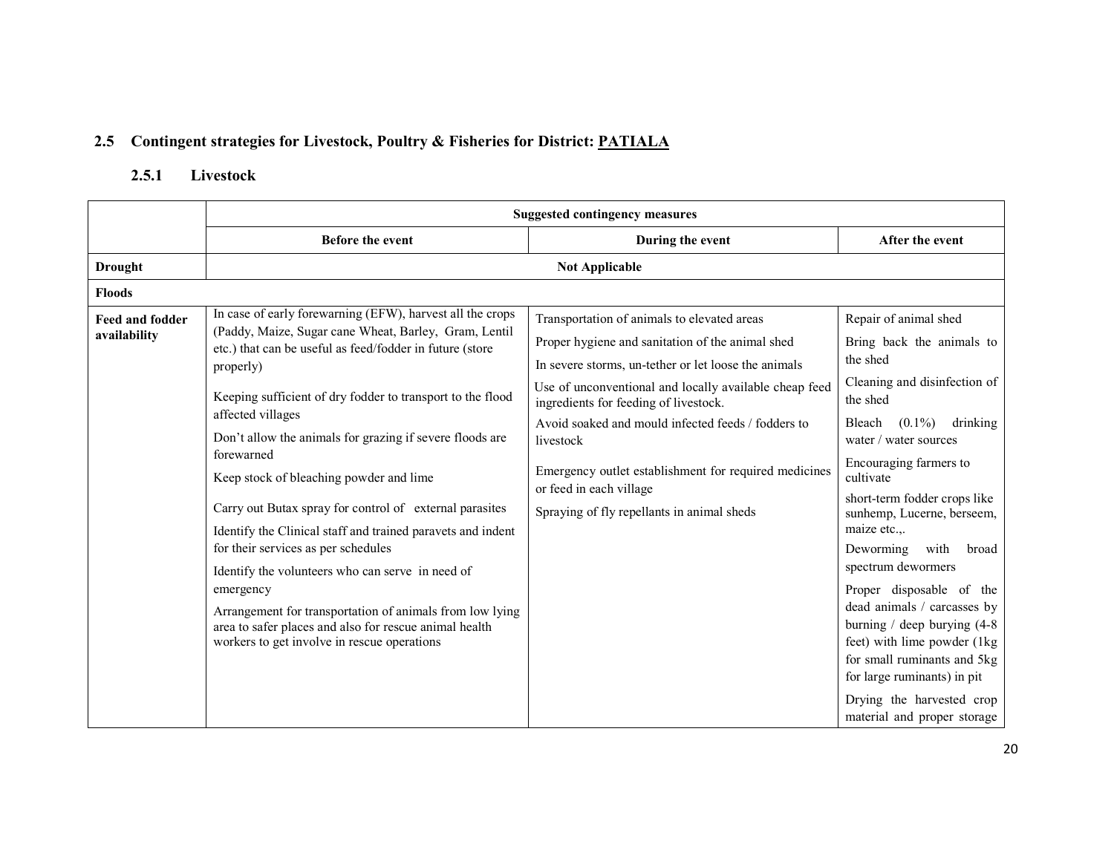## 2.5 Contingent strategies for Livestock, Poultry & Fisheries for District: <u>PATIALA</u>

#### 2.5.1 Livestock

|                                        | <b>Suggested contingency measures</b>                                                                                                                                                                                                                                                                                                                                                                                                                                                                                                                                                                                                                                                                                                                                                                      |                                                                                                                                                                                                                                                                                                                                                                                                                                                                 |                                                                                                                                                                                                                                                                                                                                                                                                                                                                                                                                                                                                         |  |
|----------------------------------------|------------------------------------------------------------------------------------------------------------------------------------------------------------------------------------------------------------------------------------------------------------------------------------------------------------------------------------------------------------------------------------------------------------------------------------------------------------------------------------------------------------------------------------------------------------------------------------------------------------------------------------------------------------------------------------------------------------------------------------------------------------------------------------------------------------|-----------------------------------------------------------------------------------------------------------------------------------------------------------------------------------------------------------------------------------------------------------------------------------------------------------------------------------------------------------------------------------------------------------------------------------------------------------------|---------------------------------------------------------------------------------------------------------------------------------------------------------------------------------------------------------------------------------------------------------------------------------------------------------------------------------------------------------------------------------------------------------------------------------------------------------------------------------------------------------------------------------------------------------------------------------------------------------|--|
|                                        | <b>Before the event</b>                                                                                                                                                                                                                                                                                                                                                                                                                                                                                                                                                                                                                                                                                                                                                                                    | During the event                                                                                                                                                                                                                                                                                                                                                                                                                                                | After the event                                                                                                                                                                                                                                                                                                                                                                                                                                                                                                                                                                                         |  |
| <b>Drought</b>                         |                                                                                                                                                                                                                                                                                                                                                                                                                                                                                                                                                                                                                                                                                                                                                                                                            | <b>Not Applicable</b>                                                                                                                                                                                                                                                                                                                                                                                                                                           |                                                                                                                                                                                                                                                                                                                                                                                                                                                                                                                                                                                                         |  |
| <b>Floods</b>                          |                                                                                                                                                                                                                                                                                                                                                                                                                                                                                                                                                                                                                                                                                                                                                                                                            |                                                                                                                                                                                                                                                                                                                                                                                                                                                                 |                                                                                                                                                                                                                                                                                                                                                                                                                                                                                                                                                                                                         |  |
| <b>Feed and fodder</b><br>availability | In case of early forewarning (EFW), harvest all the crops<br>(Paddy, Maize, Sugar cane Wheat, Barley, Gram, Lentil<br>etc.) that can be useful as feed/fodder in future (store<br>properly)<br>Keeping sufficient of dry fodder to transport to the flood<br>affected villages<br>Don't allow the animals for grazing if severe floods are<br>forewarned<br>Keep stock of bleaching powder and lime<br>Carry out Butax spray for control of external parasites<br>Identify the Clinical staff and trained paravets and indent<br>for their services as per schedules<br>Identify the volunteers who can serve in need of<br>emergency<br>Arrangement for transportation of animals from low lying<br>area to safer places and also for rescue animal health<br>workers to get involve in rescue operations | Transportation of animals to elevated areas<br>Proper hygiene and sanitation of the animal shed<br>In severe storms, un-tether or let loose the animals<br>Use of unconventional and locally available cheap feed<br>ingredients for feeding of livestock.<br>Avoid soaked and mould infected feeds / fodders to<br>livestock<br>Emergency outlet establishment for required medicines<br>or feed in each village<br>Spraying of fly repellants in animal sheds | Repair of animal shed<br>Bring back the animals to<br>the shed<br>Cleaning and disinfection of<br>the shed<br>drinking<br>$(0.1\%)$<br>Bleach<br>water / water sources<br>Encouraging farmers to<br>cultivate<br>short-term fodder crops like<br>sunhemp, Lucerne, berseem,<br>maize etc.,.<br>Deworming<br>with<br>broad<br>spectrum dewormers<br>Proper disposable of the<br>dead animals / carcasses by<br>burning $/$ deep burying $(4-8)$<br>feet) with lime powder (1kg<br>for small ruminants and 5kg<br>for large ruminants) in pit<br>Drying the harvested crop<br>material and proper storage |  |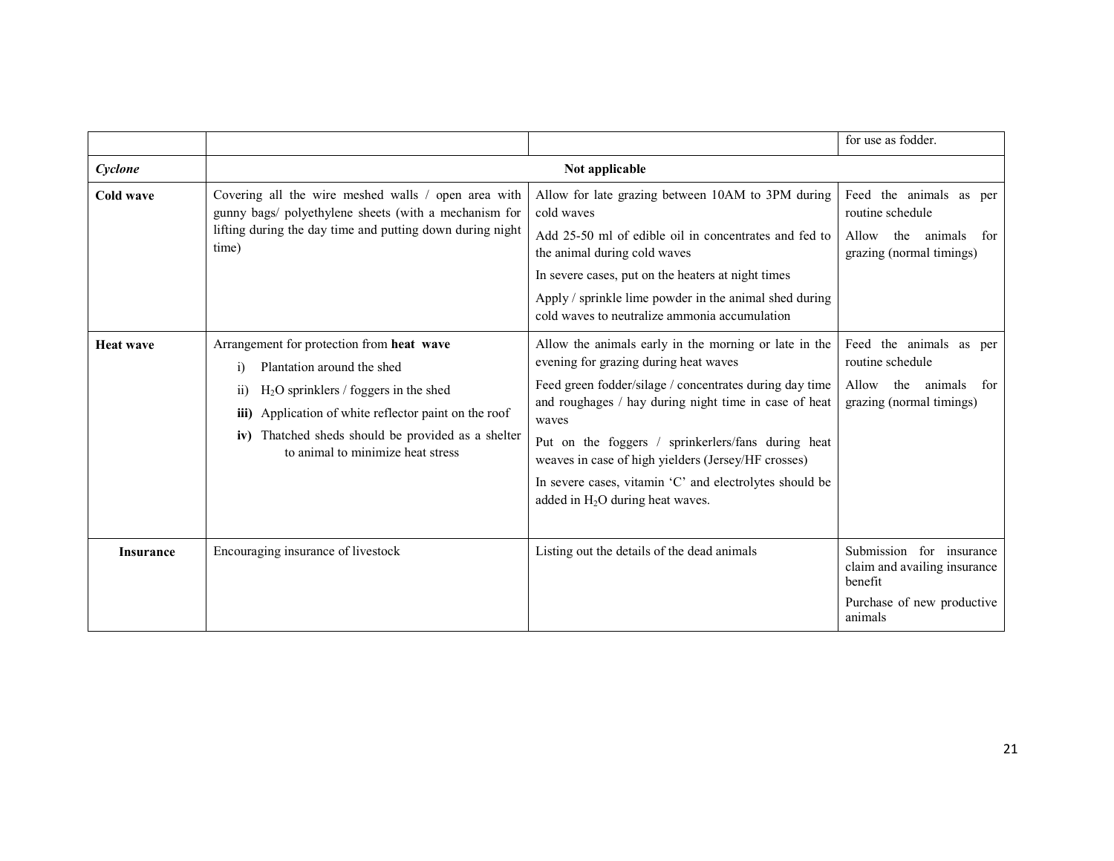|                  |                                                                                                                                                                                                                                                                                                           |                                                                                                                                                                                                                                                                                                                                                                                                                                           | for use as fodder.                                                                                           |
|------------------|-----------------------------------------------------------------------------------------------------------------------------------------------------------------------------------------------------------------------------------------------------------------------------------------------------------|-------------------------------------------------------------------------------------------------------------------------------------------------------------------------------------------------------------------------------------------------------------------------------------------------------------------------------------------------------------------------------------------------------------------------------------------|--------------------------------------------------------------------------------------------------------------|
| Cyclone          |                                                                                                                                                                                                                                                                                                           | Not applicable                                                                                                                                                                                                                                                                                                                                                                                                                            |                                                                                                              |
| Cold wave        | Covering all the wire meshed walls / open area with<br>gunny bags/ polyethylene sheets (with a mechanism for<br>lifting during the day time and putting down during night<br>time)                                                                                                                        | Allow for late grazing between 10AM to 3PM during<br>cold waves<br>Add 25-50 ml of edible oil in concentrates and fed to<br>the animal during cold waves<br>In severe cases, put on the heaters at night times<br>Apply / sprinkle lime powder in the animal shed during<br>cold waves to neutralize ammonia accumulation                                                                                                                 | Feed the animals as per<br>routine schedule<br>the<br>animals<br>Allow<br>for<br>grazing (normal timings)    |
| <b>Heat wave</b> | Arrangement for protection from heat wave<br>Plantation around the shed<br>$\ddot{1}$<br>$H2O$ sprinklers / foggers in the shed<br>$\overline{11}$<br>Application of white reflector paint on the roof<br>iii)<br>iv) Thatched sheds should be provided as a shelter<br>to animal to minimize heat stress | Allow the animals early in the morning or late in the<br>evening for grazing during heat waves<br>Feed green fodder/silage / concentrates during day time<br>and roughages / hay during night time in case of heat<br>waves<br>Put on the foggers / sprinkerlers/fans during heat<br>weaves in case of high yielders (Jersey/HF crosses)<br>In severe cases, vitamin 'C' and electrolytes should be<br>added in $H_2O$ during heat waves. | Feed the animals as per<br>routine schedule<br>Allow<br>the<br>animals<br>for<br>grazing (normal timings)    |
| <b>Insurance</b> | Encouraging insurance of livestock                                                                                                                                                                                                                                                                        | Listing out the details of the dead animals                                                                                                                                                                                                                                                                                                                                                                                               | Submission for insurance<br>claim and availing insurance<br>benefit<br>Purchase of new productive<br>animals |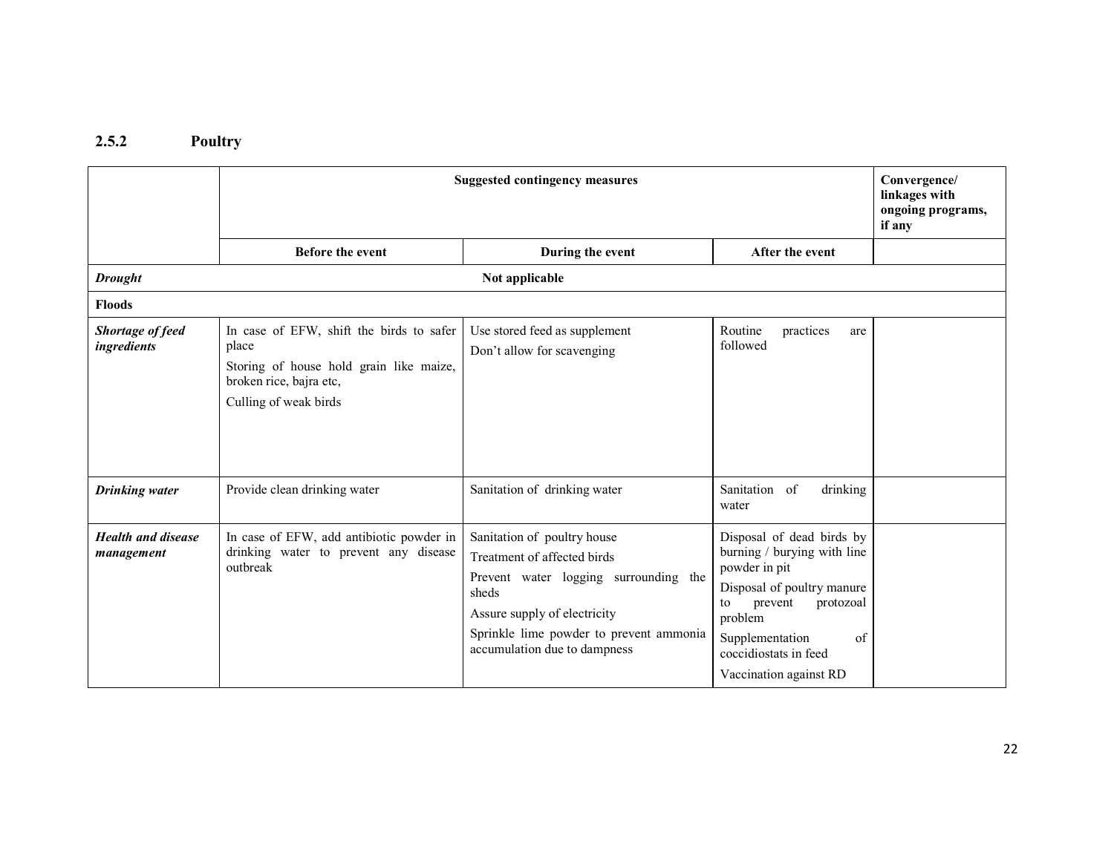#### 2.5.2 Poultry

|                                         | <b>Suggested contingency measures</b>                                                                                                            | Convergence/<br>linkages with<br>ongoing programs,<br>if any                                                                                                                                                            |                                                                                                                                                                                                                              |  |
|-----------------------------------------|--------------------------------------------------------------------------------------------------------------------------------------------------|-------------------------------------------------------------------------------------------------------------------------------------------------------------------------------------------------------------------------|------------------------------------------------------------------------------------------------------------------------------------------------------------------------------------------------------------------------------|--|
|                                         | <b>Before the event</b>                                                                                                                          | During the event                                                                                                                                                                                                        | After the event                                                                                                                                                                                                              |  |
| <b>Drought</b>                          |                                                                                                                                                  | Not applicable                                                                                                                                                                                                          |                                                                                                                                                                                                                              |  |
| <b>Floods</b>                           |                                                                                                                                                  |                                                                                                                                                                                                                         |                                                                                                                                                                                                                              |  |
| Shortage of feed<br>ingredients         | In case of EFW, shift the birds to safer<br>place<br>Storing of house hold grain like maize,<br>broken rice, bajra etc,<br>Culling of weak birds | Use stored feed as supplement<br>Don't allow for scavenging                                                                                                                                                             | Routine<br>practices<br>are<br>followed                                                                                                                                                                                      |  |
| <b>Drinking</b> water                   | Provide clean drinking water                                                                                                                     | Sanitation of drinking water                                                                                                                                                                                            | Sanitation of<br>drinking<br>water                                                                                                                                                                                           |  |
| <b>Health and disease</b><br>management | In case of EFW, add antibiotic powder in<br>drinking water to prevent any disease<br>outbreak                                                    | Sanitation of poultry house<br>Treatment of affected birds<br>Prevent water logging surrounding the<br>sheds<br>Assure supply of electricity<br>Sprinkle lime powder to prevent ammonia<br>accumulation due to dampness | Disposal of dead birds by<br>burning / burying with line<br>powder in pit<br>Disposal of poultry manure<br>to<br>prevent<br>protozoal<br>problem<br>Supplementation<br>of<br>coccidiostats in feed<br>Vaccination against RD |  |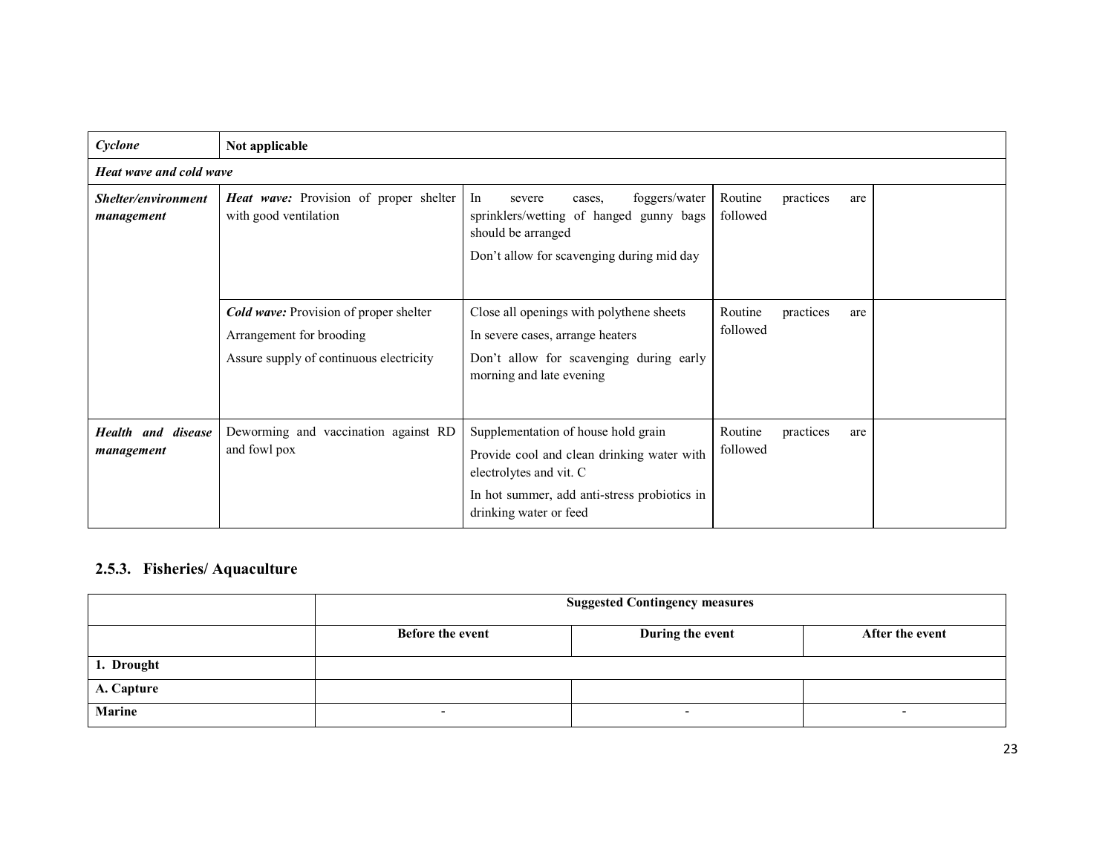| Cyclone                             | Not applicable                                                                                                       |                                                                                                                                                                                        |                                         |  |  |
|-------------------------------------|----------------------------------------------------------------------------------------------------------------------|----------------------------------------------------------------------------------------------------------------------------------------------------------------------------------------|-----------------------------------------|--|--|
| Heat wave and cold wave             |                                                                                                                      |                                                                                                                                                                                        |                                         |  |  |
| Shelter/environment<br>management   | <b>Heat wave:</b> Provision of proper shelter<br>with good ventilation                                               | In<br>foggers/water<br>severe<br>cases.<br>sprinklers/wetting of hanged gunny bags<br>should be arranged<br>Don't allow for scavenging during mid day                                  | Routine<br>practices<br>are<br>followed |  |  |
|                                     | <b>Cold wave:</b> Provision of proper shelter<br>Arrangement for brooding<br>Assure supply of continuous electricity | Close all openings with polythene sheets<br>In severe cases, arrange heaters<br>Don't allow for scavenging during early<br>morning and late evening                                    | Routine<br>practices<br>are<br>followed |  |  |
| Health and<br>disease<br>management | Deworming and vaccination against RD<br>and fowl pox                                                                 | Supplementation of house hold grain<br>Provide cool and clean drinking water with<br>electrolytes and vit. C<br>In hot summer, add anti-stress probiotics in<br>drinking water or feed | Routine<br>practices<br>are<br>followed |  |  |

### 2.5.3. Fisheries/ Aquaculture

|               | <b>Suggested Contingency measures</b>                   |  |  |  |
|---------------|---------------------------------------------------------|--|--|--|
|               | Before the event<br>After the event<br>During the event |  |  |  |
| 1. Drought    |                                                         |  |  |  |
| A. Capture    |                                                         |  |  |  |
| <b>Marine</b> |                                                         |  |  |  |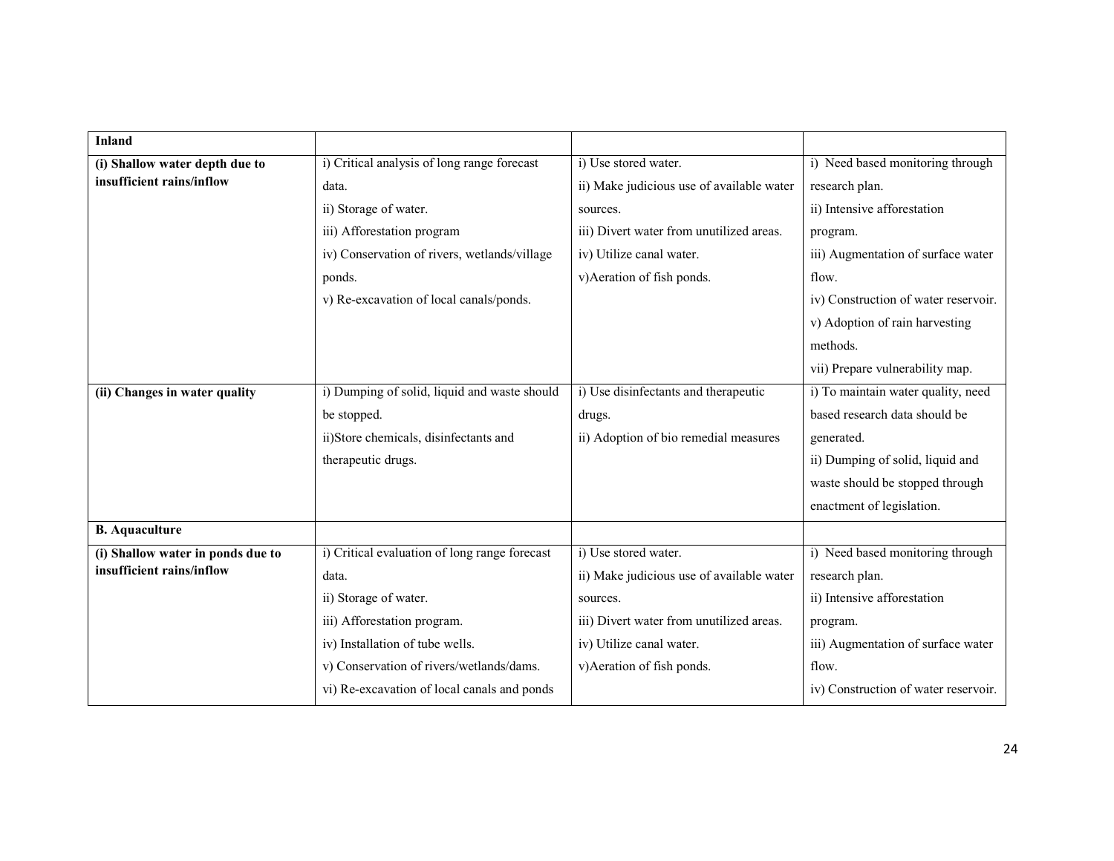| <b>Inland</b>                     |                                               |                                           |                                      |
|-----------------------------------|-----------------------------------------------|-------------------------------------------|--------------------------------------|
| (i) Shallow water depth due to    | i) Critical analysis of long range forecast   | i) Use stored water.                      | i) Need based monitoring through     |
| insufficient rains/inflow         | data.                                         | ii) Make judicious use of available water | research plan.                       |
|                                   | ii) Storage of water.                         | sources.                                  | ii) Intensive afforestation          |
|                                   | iii) Afforestation program                    | iii) Divert water from unutilized areas.  | program.                             |
|                                   | iv) Conservation of rivers, wetlands/village  | iv) Utilize canal water.                  | iii) Augmentation of surface water   |
|                                   |                                               | v) Aeration of fish ponds.                | flow.                                |
|                                   | ponds.                                        |                                           |                                      |
|                                   | v) Re-excavation of local canals/ponds.       |                                           | iv) Construction of water reservoir. |
|                                   |                                               |                                           | v) Adoption of rain harvesting       |
|                                   |                                               |                                           | methods.                             |
|                                   |                                               |                                           | vii) Prepare vulnerability map.      |
| (ii) Changes in water quality     | i) Dumping of solid, liquid and waste should  | i) Use disinfectants and therapeutic      | i) To maintain water quality, need   |
|                                   | be stopped.                                   | drugs.                                    | based research data should be        |
|                                   | ii)Store chemicals, disinfectants and         | ii) Adoption of bio remedial measures     | generated.                           |
|                                   | therapeutic drugs.                            |                                           | ii) Dumping of solid, liquid and     |
|                                   |                                               |                                           | waste should be stopped through      |
|                                   |                                               |                                           | enactment of legislation.            |
| <b>B.</b> Aquaculture             |                                               |                                           |                                      |
| (i) Shallow water in ponds due to | i) Critical evaluation of long range forecast | i) Use stored water.                      | i) Need based monitoring through     |
| insufficient rains/inflow         | data.                                         | ii) Make judicious use of available water | research plan.                       |
|                                   | ii) Storage of water.                         | sources.                                  | ii) Intensive afforestation          |
|                                   | iii) Afforestation program.                   | iii) Divert water from unutilized areas.  | program.                             |
|                                   | iv) Installation of tube wells.               | iv) Utilize canal water.                  | iii) Augmentation of surface water   |
|                                   | v) Conservation of rivers/wetlands/dams.      | v) Aeration of fish ponds.                | flow.                                |
|                                   | vi) Re-excavation of local canals and ponds   |                                           | iv) Construction of water reservoir. |
|                                   |                                               |                                           |                                      |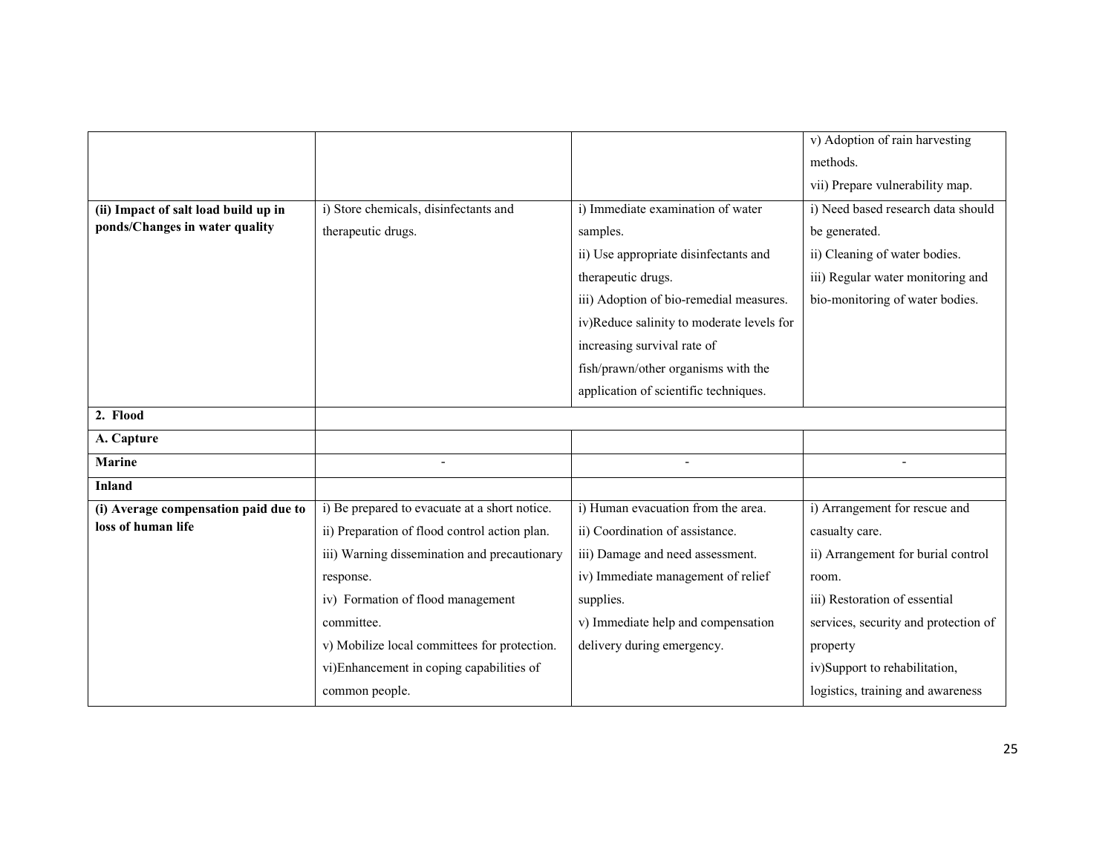|                                      |                                               |                                           | v) Adoption of rain harvesting       |
|--------------------------------------|-----------------------------------------------|-------------------------------------------|--------------------------------------|
|                                      |                                               |                                           | methods.                             |
|                                      |                                               |                                           | vii) Prepare vulnerability map.      |
| (ii) Impact of salt load build up in | i) Store chemicals, disinfectants and         | i) Immediate examination of water         | i) Need based research data should   |
| ponds/Changes in water quality       | therapeutic drugs.                            | samples.                                  | be generated.                        |
|                                      |                                               | ii) Use appropriate disinfectants and     | ii) Cleaning of water bodies.        |
|                                      |                                               | therapeutic drugs.                        | iii) Regular water monitoring and    |
|                                      |                                               | iii) Adoption of bio-remedial measures.   | bio-monitoring of water bodies.      |
|                                      |                                               | iv)Reduce salinity to moderate levels for |                                      |
|                                      |                                               | increasing survival rate of               |                                      |
|                                      |                                               | fish/prawn/other organisms with the       |                                      |
|                                      |                                               | application of scientific techniques.     |                                      |
| 2. Flood                             |                                               |                                           |                                      |
| A. Capture                           |                                               |                                           |                                      |
| <b>Marine</b>                        |                                               |                                           |                                      |
| <b>Inland</b>                        |                                               |                                           |                                      |
| (i) Average compensation paid due to | i) Be prepared to evacuate at a short notice. | i) Human evacuation from the area.        | i) Arrangement for rescue and        |
| loss of human life                   | ii) Preparation of flood control action plan. | ii) Coordination of assistance.           | casualty care.                       |
|                                      | iii) Warning dissemination and precautionary  | iii) Damage and need assessment.          | ii) Arrangement for burial control   |
|                                      | response.                                     | iv) Immediate management of relief        | room.                                |
|                                      | iv) Formation of flood management             | supplies.                                 | iii) Restoration of essential        |
|                                      | committee.                                    | v) Immediate help and compensation        | services, security and protection of |
|                                      | v) Mobilize local committees for protection.  | delivery during emergency.                | property                             |
|                                      | vi)Enhancement in coping capabilities of      |                                           | iv)Support to rehabilitation,        |
|                                      | common people.                                |                                           | logistics, training and awareness    |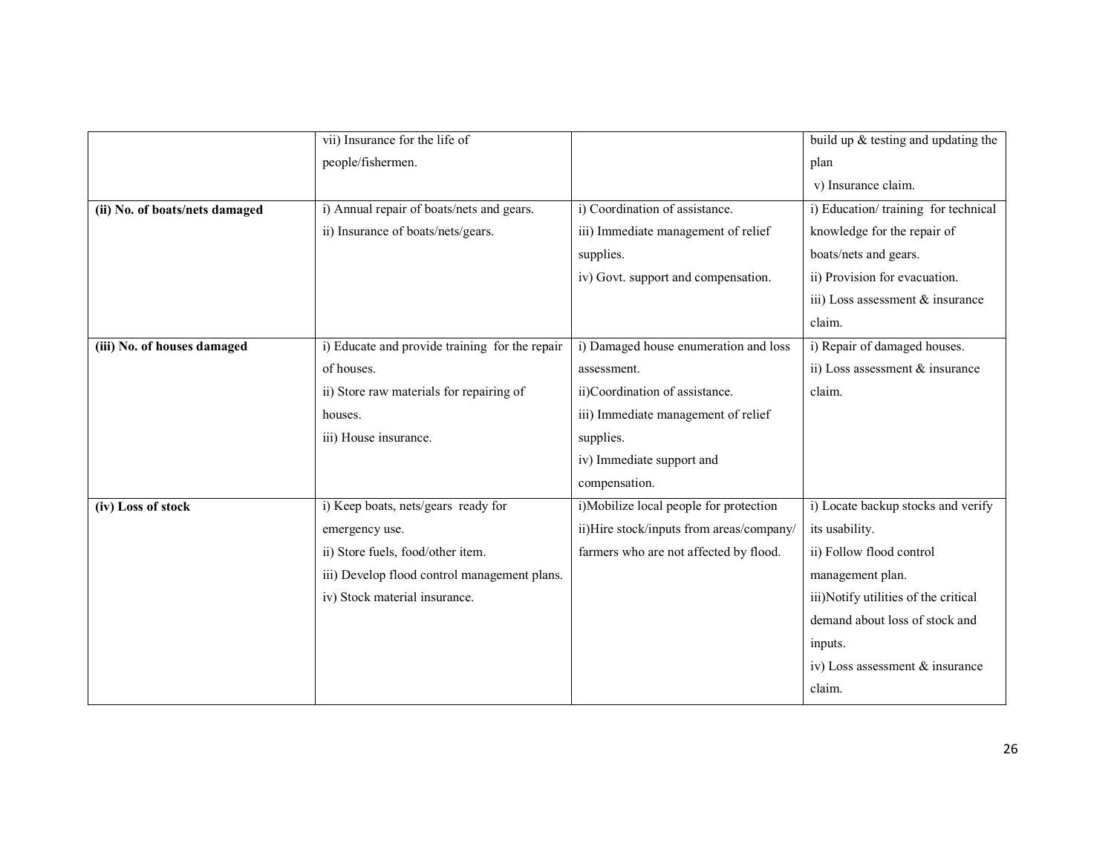|                                | vii) Insurance for the life of                 |                                          | build up $\&$ testing and updating the |
|--------------------------------|------------------------------------------------|------------------------------------------|----------------------------------------|
|                                | people/fishermen.                              |                                          | plan                                   |
|                                |                                                |                                          | v) Insurance claim.                    |
| (ii) No. of boats/nets damaged | i) Annual repair of boats/nets and gears.      | i) Coordination of assistance.           | i) Education/training for technical    |
|                                | ii) Insurance of boats/nets/gears.             | iii) Immediate management of relief      | knowledge for the repair of            |
|                                |                                                | supplies.                                | boats/nets and gears.                  |
|                                |                                                | iv) Govt. support and compensation.      | ii) Provision for evacuation.          |
|                                |                                                |                                          | iii) Loss assessment & insurance       |
|                                |                                                |                                          | claim.                                 |
| (iii) No. of houses damaged    | i) Educate and provide training for the repair | i) Damaged house enumeration and loss    | i) Repair of damaged houses.           |
|                                | of houses.                                     | assessment.                              | ii) Loss assessment $&$ insurance      |
|                                | ii) Store raw materials for repairing of       | ii)Coordination of assistance.           | claim.                                 |
|                                | houses.                                        | iii) Immediate management of relief      |                                        |
|                                | iii) House insurance.                          | supplies.                                |                                        |
|                                |                                                | iv) Immediate support and                |                                        |
|                                |                                                | compensation.                            |                                        |
| (iv) Loss of stock             | i) Keep boats, nets/gears ready for            | i)Mobilize local people for protection   | i) Locate backup stocks and verify     |
|                                | emergency use.                                 | ii)Hire stock/inputs from areas/company/ | its usability.                         |
|                                | ii) Store fuels, food/other item.              | farmers who are not affected by flood.   | ii) Follow flood control               |
|                                | iii) Develop flood control management plans.   |                                          | management plan.                       |
|                                | iv) Stock material insurance.                  |                                          | iii)Notify utilities of the critical   |
|                                |                                                |                                          | demand about loss of stock and         |
|                                |                                                |                                          | inputs.                                |
|                                |                                                |                                          | iv) Loss assessment & insurance        |
|                                |                                                |                                          | claim.                                 |
|                                |                                                |                                          |                                        |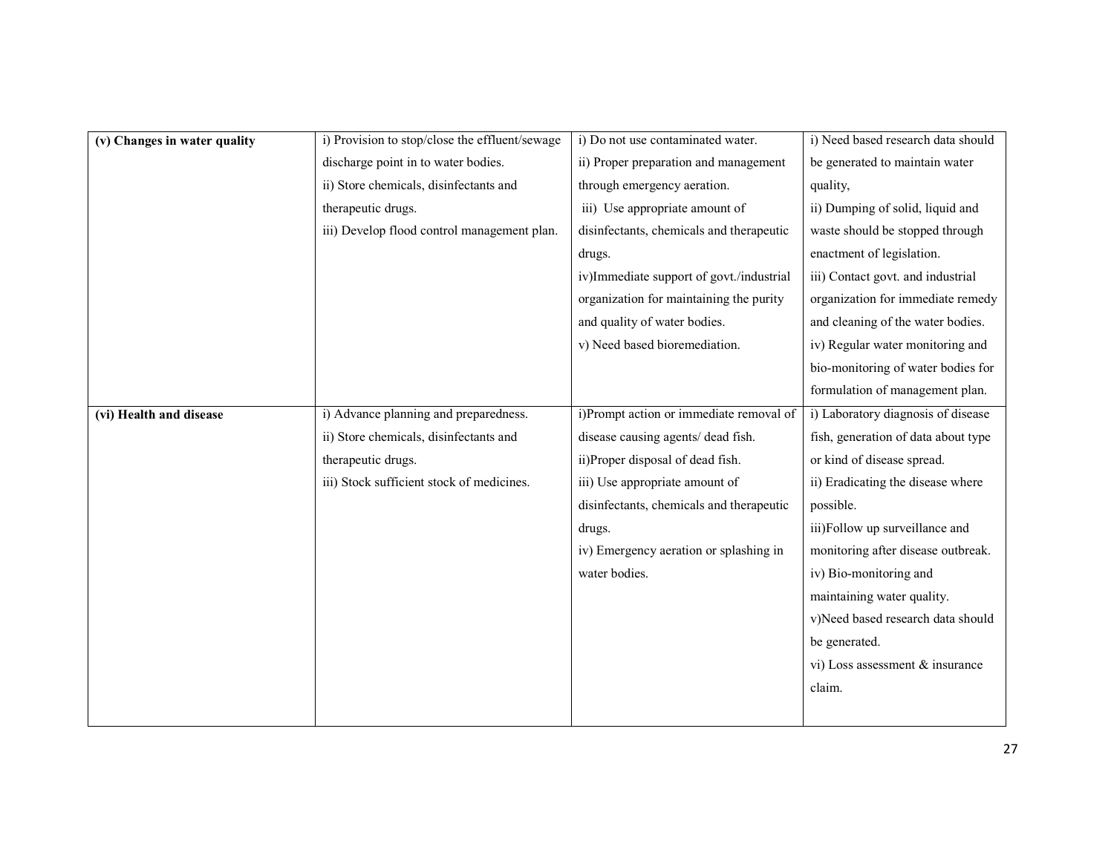| (v) Changes in water quality | i) Provision to stop/close the effluent/sewage | i) Do not use contaminated water.        | i) Need based research data should  |
|------------------------------|------------------------------------------------|------------------------------------------|-------------------------------------|
|                              | discharge point in to water bodies.            | ii) Proper preparation and management    | be generated to maintain water      |
|                              | ii) Store chemicals, disinfectants and         | through emergency aeration.              | quality,                            |
|                              | therapeutic drugs.                             | iii) Use appropriate amount of           | ii) Dumping of solid, liquid and    |
|                              | iii) Develop flood control management plan.    | disinfectants, chemicals and therapeutic | waste should be stopped through     |
|                              |                                                | drugs.                                   | enactment of legislation.           |
|                              |                                                | iv)Immediate support of govt./industrial | iii) Contact govt. and industrial   |
|                              |                                                | organization for maintaining the purity  | organization for immediate remedy   |
|                              |                                                | and quality of water bodies.             | and cleaning of the water bodies.   |
|                              |                                                | v) Need based bioremediation.            | iv) Regular water monitoring and    |
|                              |                                                |                                          | bio-monitoring of water bodies for  |
|                              |                                                |                                          | formulation of management plan.     |
| (vi) Health and disease      | i) Advance planning and preparedness.          | i)Prompt action or immediate removal of  | i) Laboratory diagnosis of disease  |
|                              | ii) Store chemicals, disinfectants and         | disease causing agents/ dead fish.       | fish, generation of data about type |
|                              | therapeutic drugs.                             | ii)Proper disposal of dead fish.         | or kind of disease spread.          |
|                              | iii) Stock sufficient stock of medicines.      | iii) Use appropriate amount of           | ii) Eradicating the disease where   |
|                              |                                                | disinfectants, chemicals and therapeutic | possible.                           |
|                              |                                                | drugs.                                   | iii)Follow up surveillance and      |
|                              |                                                | iv) Emergency aeration or splashing in   | monitoring after disease outbreak.  |
|                              |                                                | water bodies.                            | iv) Bio-monitoring and              |
|                              |                                                |                                          | maintaining water quality.          |
|                              |                                                |                                          | v)Need based research data should   |
|                              |                                                |                                          | be generated.                       |
|                              |                                                |                                          | vi) Loss assessment & insurance     |
|                              |                                                |                                          | claim.                              |
|                              |                                                |                                          |                                     |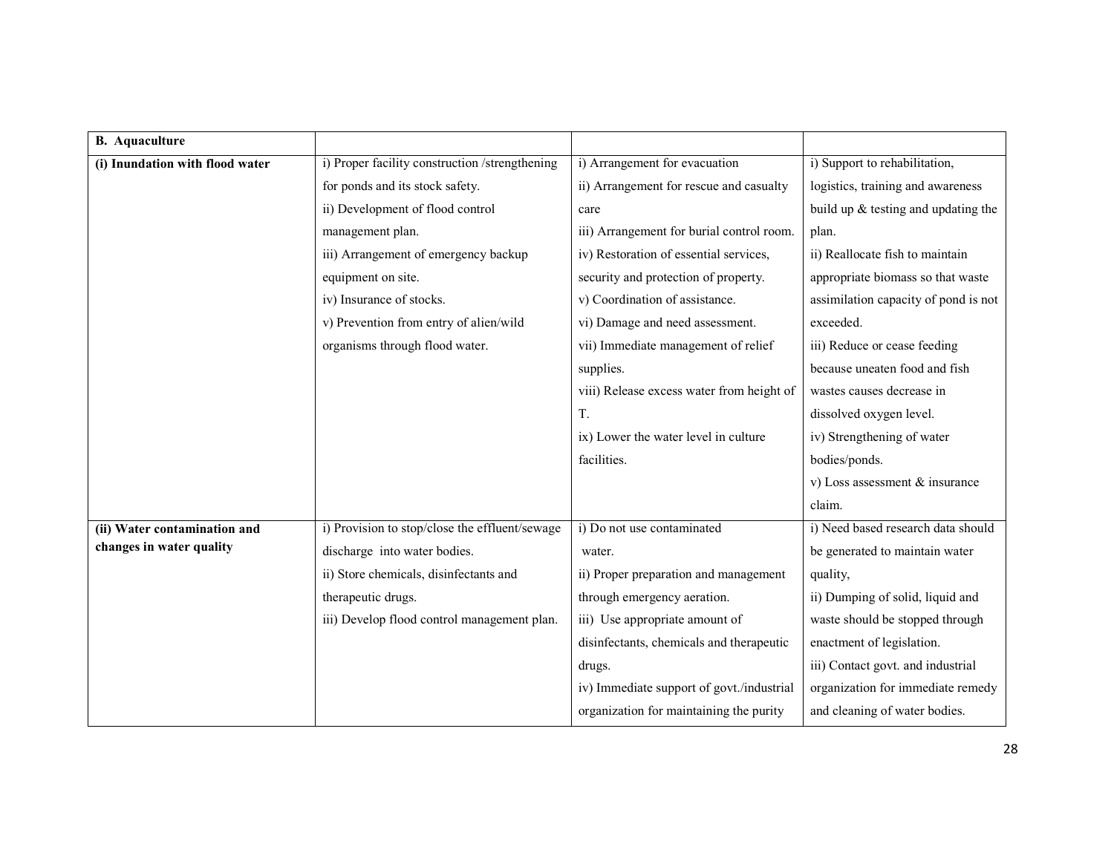| <b>B.</b> Aquaculture           |                                                |                                           |                                      |
|---------------------------------|------------------------------------------------|-------------------------------------------|--------------------------------------|
| (i) Inundation with flood water | i) Proper facility construction /strengthening | i) Arrangement for evacuation             | i) Support to rehabilitation,        |
|                                 | for ponds and its stock safety.                | ii) Arrangement for rescue and casualty   | logistics, training and awareness    |
|                                 | ii) Development of flood control               | care                                      | build up & testing and updating the  |
|                                 | management plan.                               | iii) Arrangement for burial control room. | plan.                                |
|                                 | iii) Arrangement of emergency backup           | iv) Restoration of essential services,    | ii) Reallocate fish to maintain      |
|                                 | equipment on site.                             | security and protection of property.      | appropriate biomass so that waste    |
|                                 | iv) Insurance of stocks.                       | v) Coordination of assistance.            | assimilation capacity of pond is not |
|                                 | v) Prevention from entry of alien/wild         | vi) Damage and need assessment.           | exceeded.                            |
|                                 | organisms through flood water.                 | vii) Immediate management of relief       | iii) Reduce or cease feeding         |
|                                 |                                                | supplies.                                 | because uneaten food and fish        |
|                                 |                                                | viii) Release excess water from height of | wastes causes decrease in            |
|                                 |                                                | T.                                        | dissolved oxygen level.              |
|                                 |                                                | ix) Lower the water level in culture      | iv) Strengthening of water           |
|                                 |                                                | facilities.                               | bodies/ponds.                        |
|                                 |                                                |                                           | v) Loss assessment $&$ insurance     |
|                                 |                                                |                                           | claim.                               |
| (ii) Water contamination and    | i) Provision to stop/close the effluent/sewage | i) Do not use contaminated                | i) Need based research data should   |
| changes in water quality        | discharge into water bodies.                   | water.                                    | be generated to maintain water       |
|                                 | ii) Store chemicals, disinfectants and         | ii) Proper preparation and management     | quality,                             |
|                                 | therapeutic drugs.                             | through emergency aeration.               | ii) Dumping of solid, liquid and     |
|                                 | iii) Develop flood control management plan.    | iii) Use appropriate amount of            | waste should be stopped through      |
|                                 |                                                | disinfectants, chemicals and therapeutic  | enactment of legislation.            |
|                                 |                                                | drugs.                                    | iii) Contact govt. and industrial    |
|                                 |                                                | iv) Immediate support of govt./industrial | organization for immediate remedy    |
|                                 |                                                | organization for maintaining the purity   | and cleaning of water bodies.        |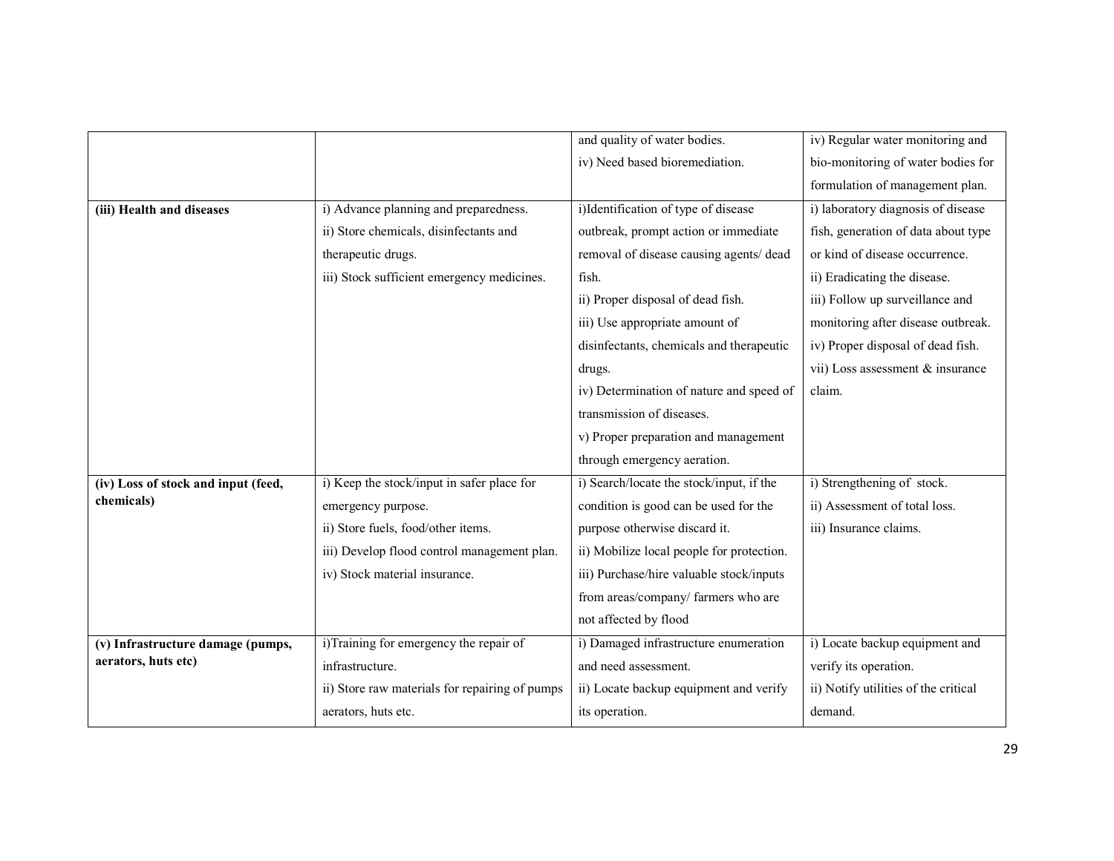|                                     |                                                | and quality of water bodies.              | iv) Regular water monitoring and     |
|-------------------------------------|------------------------------------------------|-------------------------------------------|--------------------------------------|
|                                     |                                                | iv) Need based bioremediation.            | bio-monitoring of water bodies for   |
|                                     |                                                |                                           | formulation of management plan.      |
| (iii) Health and diseases           | i) Advance planning and preparedness.          | i)Identification of type of disease       | i) laboratory diagnosis of disease   |
|                                     | ii) Store chemicals, disinfectants and         | outbreak, prompt action or immediate      | fish, generation of data about type  |
|                                     | therapeutic drugs.                             | removal of disease causing agents/ dead   | or kind of disease occurrence.       |
|                                     | iii) Stock sufficient emergency medicines.     | fish.                                     | ii) Eradicating the disease.         |
|                                     |                                                | ii) Proper disposal of dead fish.         | iii) Follow up surveillance and      |
|                                     |                                                | iii) Use appropriate amount of            | monitoring after disease outbreak.   |
|                                     |                                                | disinfectants, chemicals and therapeutic  | iv) Proper disposal of dead fish.    |
|                                     |                                                | drugs.                                    | vii) Loss assessment & insurance     |
|                                     |                                                | iv) Determination of nature and speed of  | claim.                               |
|                                     |                                                | transmission of diseases.                 |                                      |
|                                     |                                                | v) Proper preparation and management      |                                      |
|                                     |                                                | through emergency aeration.               |                                      |
| (iv) Loss of stock and input (feed, | i) Keep the stock/input in safer place for     | i) Search/locate the stock/input, if the  | i) Strengthening of stock.           |
| chemicals)                          | emergency purpose.                             | condition is good can be used for the     | ii) Assessment of total loss.        |
|                                     | ii) Store fuels, food/other items.             | purpose otherwise discard it.             | iii) Insurance claims.               |
|                                     | iii) Develop flood control management plan.    | ii) Mobilize local people for protection. |                                      |
|                                     | iv) Stock material insurance.                  | iii) Purchase/hire valuable stock/inputs  |                                      |
|                                     |                                                | from areas/company/ farmers who are       |                                      |
|                                     |                                                | not affected by flood                     |                                      |
| (v) Infrastructure damage (pumps,   | i)Training for emergency the repair of         | i) Damaged infrastructure enumeration     | i) Locate backup equipment and       |
| aerators, huts etc)                 | infrastructure.                                | and need assessment.                      | verify its operation.                |
|                                     | ii) Store raw materials for repairing of pumps | ii) Locate backup equipment and verify    | ii) Notify utilities of the critical |
|                                     | aerators, huts etc.                            | its operation.                            | demand.                              |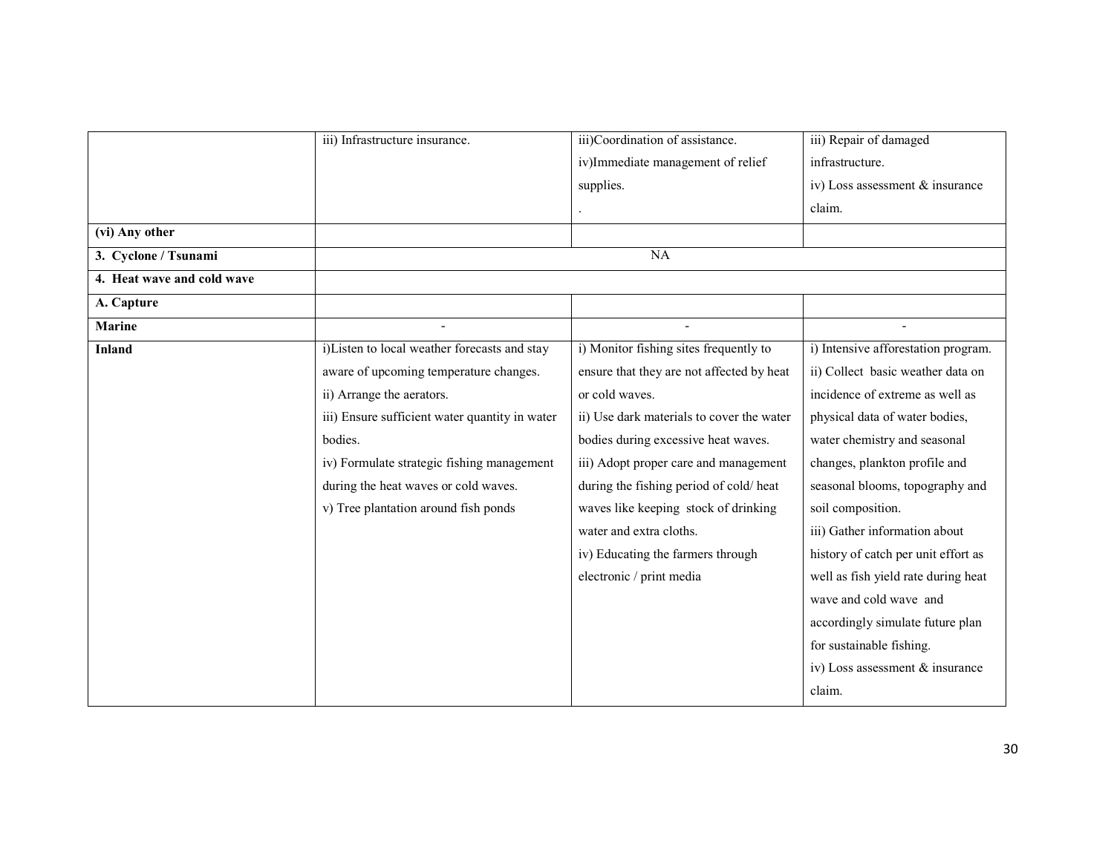|                            | iii) Infrastructure insurance.                 | iii)Coordination of assistance.           | iii) Repair of damaged              |
|----------------------------|------------------------------------------------|-------------------------------------------|-------------------------------------|
|                            |                                                | iv)Immediate management of relief         | infrastructure.                     |
|                            |                                                | supplies.                                 | iv) Loss assessment & insurance     |
|                            |                                                |                                           | claim.                              |
| (vi) Any other             |                                                |                                           |                                     |
| 3. Cyclone / Tsunami       |                                                | NA                                        |                                     |
| 4. Heat wave and cold wave |                                                |                                           |                                     |
| A. Capture                 |                                                |                                           |                                     |
| <b>Marine</b>              |                                                |                                           |                                     |
| <b>Inland</b>              | i)Listen to local weather forecasts and stay   | i) Monitor fishing sites frequently to    | i) Intensive afforestation program. |
|                            | aware of upcoming temperature changes.         | ensure that they are not affected by heat | ii) Collect basic weather data on   |
|                            | ii) Arrange the aerators.                      | or cold waves.                            | incidence of extreme as well as     |
|                            | iii) Ensure sufficient water quantity in water | ii) Use dark materials to cover the water | physical data of water bodies,      |
|                            | bodies.                                        | bodies during excessive heat waves.       | water chemistry and seasonal        |
|                            | iv) Formulate strategic fishing management     | iii) Adopt proper care and management     | changes, plankton profile and       |
|                            | during the heat waves or cold waves.           | during the fishing period of cold/heat    | seasonal blooms, topography and     |
|                            | v) Tree plantation around fish ponds           | waves like keeping stock of drinking      | soil composition.                   |
|                            |                                                | water and extra cloths.                   | iii) Gather information about       |
|                            |                                                | iv) Educating the farmers through         | history of catch per unit effort as |
|                            |                                                | electronic / print media                  | well as fish yield rate during heat |
|                            |                                                |                                           | wave and cold wave and              |
|                            |                                                |                                           | accordingly simulate future plan    |
|                            |                                                |                                           | for sustainable fishing.            |
|                            |                                                |                                           | iv) Loss assessment & insurance     |
|                            |                                                |                                           | claim.                              |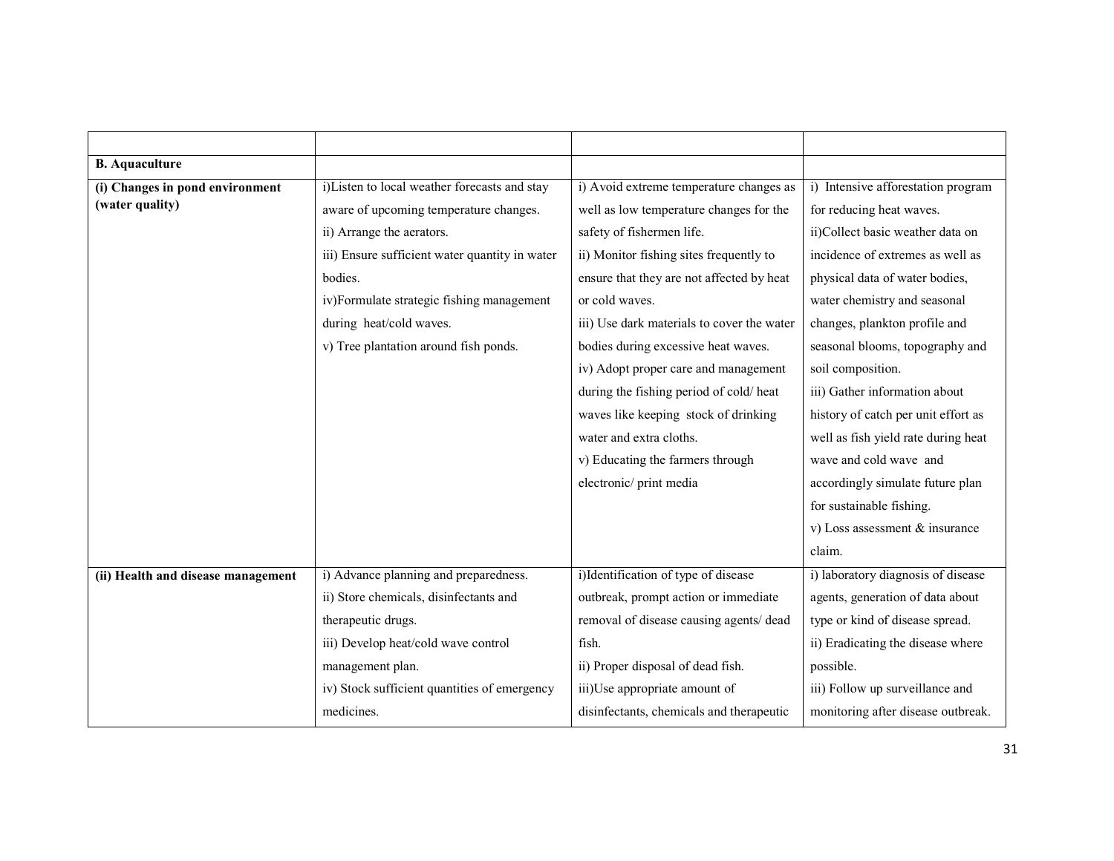| <b>B.</b> Aquaculture              |                                                |                                            |                                     |
|------------------------------------|------------------------------------------------|--------------------------------------------|-------------------------------------|
| (i) Changes in pond environment    | i)Listen to local weather forecasts and stay   | i) Avoid extreme temperature changes as    | i) Intensive afforestation program  |
| (water quality)                    | aware of upcoming temperature changes.         | well as low temperature changes for the    | for reducing heat waves.            |
|                                    | ii) Arrange the aerators.                      | safety of fishermen life.                  | ii)Collect basic weather data on    |
|                                    | iii) Ensure sufficient water quantity in water | ii) Monitor fishing sites frequently to    | incidence of extremes as well as    |
|                                    | bodies.                                        | ensure that they are not affected by heat  | physical data of water bodies,      |
|                                    | iv)Formulate strategic fishing management      | or cold waves.                             | water chemistry and seasonal        |
|                                    | during heat/cold waves.                        | iii) Use dark materials to cover the water | changes, plankton profile and       |
|                                    | v) Tree plantation around fish ponds.          | bodies during excessive heat waves.        | seasonal blooms, topography and     |
|                                    |                                                | iv) Adopt proper care and management       | soil composition.                   |
|                                    |                                                | during the fishing period of cold/heat     | iii) Gather information about       |
|                                    |                                                | waves like keeping stock of drinking       | history of catch per unit effort as |
|                                    |                                                | water and extra cloths.                    | well as fish yield rate during heat |
|                                    |                                                | v) Educating the farmers through           | wave and cold wave and              |
|                                    |                                                | electronic/ print media                    | accordingly simulate future plan    |
|                                    |                                                |                                            | for sustainable fishing.            |
|                                    |                                                |                                            | v) Loss assessment $&$ insurance    |
|                                    |                                                |                                            | claim.                              |
| (ii) Health and disease management | i) Advance planning and preparedness.          | i)Identification of type of disease        | i) laboratory diagnosis of disease  |
|                                    | ii) Store chemicals, disinfectants and         | outbreak, prompt action or immediate       | agents, generation of data about    |
|                                    | therapeutic drugs.                             | removal of disease causing agents/ dead    | type or kind of disease spread.     |
|                                    | iii) Develop heat/cold wave control            | fish.                                      | ii) Eradicating the disease where   |
|                                    | management plan.                               | ii) Proper disposal of dead fish.          | possible.                           |
|                                    | iv) Stock sufficient quantities of emergency   | iii)Use appropriate amount of              | iii) Follow up surveillance and     |
|                                    | medicines.                                     | disinfectants, chemicals and therapeutic   | monitoring after disease outbreak.  |